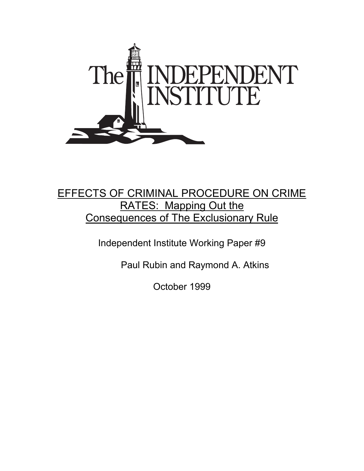

# EFFECTS OF CRIMINAL PROCEDURE ON CRIME RATES: Mapping Out the Consequences of The Exclusionary Rule

Independent Institute Working Paper #9

Paul Rubin and Raymond A. Atkins

October 1999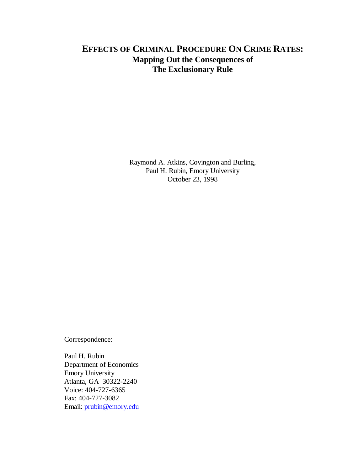# **EFFECTS OF CRIMINAL PROCEDURE ON CRIME RATES: Mapping Out the Consequences of The Exclusionary Rule**

Raymond A. Atkins, Covington and Burling, Paul H. Rubin, Emory University October 23, 1998

Correspondence:

Paul H. Rubin Department of Economics Emory University Atlanta, GA 30322-2240 Voice: 404-727-6365 Fax: 404-727-3082 Email: prubin@emory.edu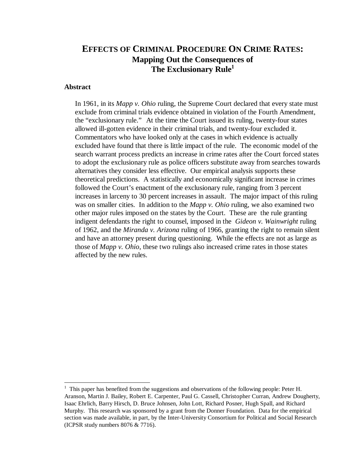# **EFFECTS OF CRIMINAL PROCEDURE ON CRIME RATES: Mapping Out the Consequences of The Exclusionary Rule<sup>1</sup>**

#### **Abstract**

-

In 1961, in its *Mapp v. Ohio* ruling, the Supreme Court declared that every state must exclude from criminal trials evidence obtained in violation of the Fourth Amendment, the "exclusionary rule." At the time the Court issued its ruling, twenty-four states allowed ill-gotten evidence in their criminal trials, and twenty-four excluded it. Commentators who have looked only at the cases in which evidence is actually excluded have found that there is little impact of the rule. The economic model of the search warrant process predicts an increase in crime rates after the Court forced states to adopt the exclusionary rule as police officers substitute away from searches towards alternatives they consider less effective. Our empirical analysis supports these theoretical predictions. A statistically and economically significant increase in crimes followed the Court's enactment of the exclusionary rule, ranging from 3 percent increases in larceny to 30 percent increases in assault. The major impact of this ruling was on smaller cities. In addition to the *Mapp v. Ohio* ruling, we also examined two other major rules imposed on the states by the Court. These are the rule granting indigent defendants the right to counsel, imposed in the *Gideon v. Wainwright* ruling of 1962, and the *Miranda v. Arizona* ruling of 1966, granting the right to remain silent and have an attorney present during questioning. While the effects are not as large as those of *Mapp v. Ohio*, these two rulings also increased crime rates in those states affected by the new rules.

 $<sup>1</sup>$  This paper has benefited from the suggestions and observations of the following people: Peter H.</sup> Aranson, Martin J. Bailey, Robert E. Carpenter, Paul G. Cassell, Christopher Curran, Andrew Dougherty, Isaac Ehrlich, Barry Hirsch, D. Bruce Johnsen, John Lott, Richard Posner, Hugh Spall, and Richard Murphy. This research was sponsored by a grant from the Donner Foundation. Data for the empirical section was made available, in part, by the Inter-University Consortium for Political and Social Research (ICPSR study numbers 8076 & 7716).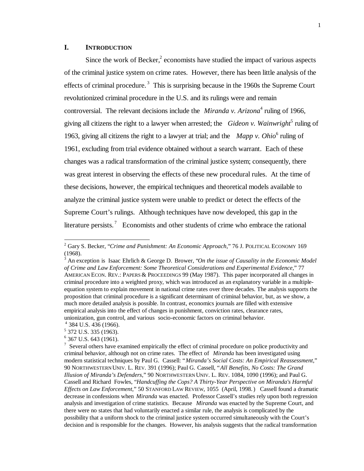#### **I. INTRODUCTION**

Since the work of Becker, $2$  economists have studied the impact of various aspects of the criminal justice system on crime rates. However, there has been little analysis of the effects of criminal procedure.<sup>3</sup> This is surprising because in the 1960s the Supreme Court revolutionized criminal procedure in the U.S. and its rulings were and remain controversial. The relevant decisions include the *Miranda v. Arizona*<sup>4</sup> ruling of 1966, giving all citizens the right to a lawyer when arrested; the *Gideon v. Wainwright*<sup>5</sup> ruling of 1963, giving all citizens the right to a lawyer at trial; and the *Mapp v. Ohio*<sup>6</sup> ruling of 1961, excluding from trial evidence obtained without a search warrant. Each of these changes was a radical transformation of the criminal justice system; consequently, there was great interest in observing the effects of these new procedural rules. At the time of these decisions, however, the empirical techniques and theoretical models available to analyze the criminal justice system were unable to predict or detect the effects of the Supreme Court's rulings. Although techniques have now developed, this gap in the literature persists.<sup>7</sup> Economists and other students of crime who embrace the rational

<sup>&</sup>lt;sup>2</sup> Gary S. Becker, "*Crime and Punishment: An Economic Approach*," 76 J. POLITICAL ECONOMY 169 (1968).

<sup>3</sup> An exception is Isaac Ehrlich & George D. Brower, "*On the issue of Causality in the Economic Model of Crime and Law Enforcement: Some Theoretical Considerations and Experimental Evidence*," 77 AMERICAN ECON. REV.: PAPERS & PROCEEDINGS 99 (May 1987). This paper incorporated all changes in criminal procedure into a weighted proxy, which was introduced as an explanatory variable in a multipleequation system to explain movement in national crime rates over three decades. The analysis supports the proposition that criminal procedure is a significant determinant of criminal behavior, but, as we show, a much more detailed analysis is possible. In contrast, economics journals are filled with extensive empirical analysis into the effect of changes in punishment, conviction rates, clearance rates, unionization, gun control, and various socio-economic factors on criminal behavior.

<sup>4</sup> 384 U.S. 436 (1966).

<sup>&</sup>lt;sup>5</sup> 372 U.S. 335 (1963).

<sup>&</sup>lt;sup>6</sup> 367 U.S. 643 (1961).

 $\frac{7}{1}$  Several others have examined empirically the effect of criminal procedure on police productivity and criminal behavior, although not on crime rates. The effect of *Miranda* has been investigated using modern statistical techniques by Paul G. Cassell: "*Miranda's Social Costs: An Empirical Reassessment*," 90 NORTHWESTERN UNIV. L. REV. 391 (1996); Paul G. Cassell, "*All Benefits, No Costs: The Grand Illusion of Miranda's Defenders*," 90 NORTHWESTERN UNIV. L. REV. 1084, 1090 (1996); and Paul G. Cassell and Richard Fowles, "*Handcuffing the Cops? A Thirty-Year Perspective on Miranda's Harmful Effects on Law Enforcement*," 50 STANFORD LAW REVIEW, 1055 (April, 1998.) Cassell found a dramatic decrease in confessions when *Miranda* was enacted. Professor Cassell's studies rely upon both regression analysis and investigation of crime statistics. Because *Miranda* was enacted by the Supreme Court, and there were no states that had voluntarily enacted a similar rule, the analysis is complicated by the possibility that a uniform shock to the criminal justice system occurred simultaneously with the Court's decision and is responsible for the changes. However, his analysis suggests that the radical transformation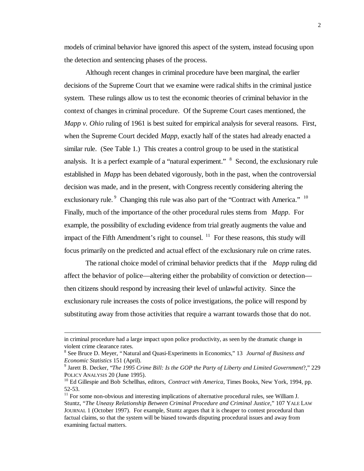models of criminal behavior have ignored this aspect of the system, instead focusing upon the detection and sentencing phases of the process.

Although recent changes in criminal procedure have been marginal, the earlier decisions of the Supreme Court that we examine were radical shifts in the criminal justice system. These rulings allow us to test the economic theories of criminal behavior in the context of changes in criminal procedure. Of the Supreme Court cases mentioned, the *Mapp v. Ohio* ruling of 1961 is best suited for empirical analysis for several reasons. First, when the Supreme Court decided *Mapp*, exactly half of the states had already enacted a similar rule. (See Table 1.) This creates a control group to be used in the statistical analysis. It is a perfect example of a "natural experiment." <sup>8</sup> Second, the exclusionary rule established in *Mapp* has been debated vigorously, both in the past, when the controversial decision was made, and in the present, with Congress recently considering altering the exclusionary rule.<sup>9</sup> Changing this rule was also part of the "Contract with America."  $10$ Finally, much of the importance of the other procedural rules stems from *Mapp*.For example, the possibility of excluding evidence from trial greatly augments the value and impact of the Fifth Amendment's right to counsel.  $11$  For these reasons, this study will focus primarily on the predicted and actual effect of the exclusionary rule on crime rates.

The rational choice model of criminal behavior predicts that if the *Mapp* ruling did affect the behavior of police— altering either the probability of conviction or detection then citizens should respond by increasing their level of unlawful activity. Since the exclusionary rule increases the costs of police investigations, the police will respond by substituting away from those activities that require a warrant towards those that do not.

-

in criminal procedure had a large impact upon police productivity, as seen by the dramatic change in violent crime clearance rates.

<sup>8</sup> See Bruce D. Meyer, "Natural and Quasi-Experiments in Economics," 13 *Journal of Business and Economic Statistics* 151 (April).

<sup>9</sup> Jarett B. Decker, "*The 1995 Crime Bill: Is the GOP the Party of Liberty and Limited Government*?*,*" 229 POLICY ANALYSIS 20 (June 1995).

<sup>10</sup> Ed Gillespie and Bob Schellhas, editors, *Contract with America*, Times Books, New York, 1994, pp. 52-53.

 $11$  For some non-obvious and interesting implications of alternative procedural rules, see William J. Stuntz, "*The Uneasy Relationship Between Criminal Procedure and Criminal Justice*," 107 YALE LAW JOURNAL 1 (October 1997). For example, Stuntz argues that it is cheaper to contest procedural than factual claims, so that the system will be biased towards disputing procedural issues and away from examining factual matters.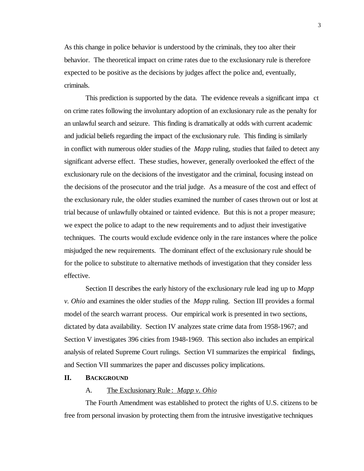As this change in police behavior is understood by the criminals, they too alter their behavior. The theoretical impact on crime rates due to the exclusionary rule is therefore expected to be positive as the decisions by judges affect the police and, eventually, criminals.

This prediction is supported by the data. The evidence reveals a significant impa ct on crime rates following the involuntary adoption of an exclusionary rule as the penalty for an unlawful search and seizure. This finding is dramatically at odds with current academic and judicial beliefs regarding the impact of the exclusionary rule. This finding is similarly in conflict with numerous older studies of the *Mapp* ruling, studies that failed to detect any significant adverse effect. These studies, however, generally overlooked the effect of the exclusionary rule on the decisions of the investigator and the criminal, focusing instead on the decisions of the prosecutor and the trial judge. As a measure of the cost and effect of the exclusionary rule, the older studies examined the number of cases thrown out or lost at trial because of unlawfully obtained or tainted evidence. But this is not a proper measure; we expect the police to adapt to the new requirements and to adjust their investigative techniques. The courts would exclude evidence only in the rare instances where the police misjudged the new requirements. The dominant effect of the exclusionary rule should be for the police to substitute to alternative methods of investigation that they consider less effective.

Section II describes the early history of the exclusionary rule lead ing up to *Mapp v. Ohio* and examines the older studies of the *Mapp* ruling. Section III provides a formal model of the search warrant process. Our empirical work is presented in two sections, dictated by data availability. Section IV analyzes state crime data from 1958-1967; and Section V investigates 396 cities from 1948-1969. This section also includes an empirical analysis of related Supreme Court rulings. Section VI summarizes the empirical findings, and Section VII summarizes the paper and discusses policy implications.

#### **II. BACKGROUND**

## A. The Exclusionary Rule : *Mapp v. Ohio*

The Fourth Amendment was established to protect the rights of U.S. citizens to be free from personal invasion by protecting them from the intrusive investigative techniques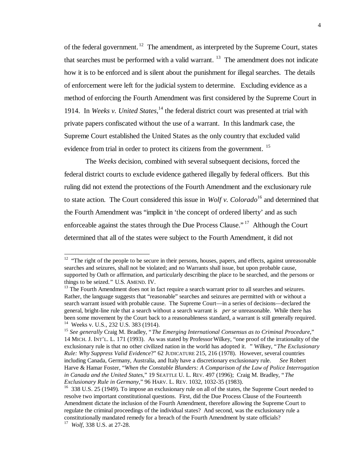of the federal government.<sup>12</sup> The amendment, as interpreted by the Supreme Court, states that searches must be performed with a valid warrant.  $13$  The amendment does not indicate how it is to be enforced and is silent about the punishment for illegal searches. The details of enforcement were left for the judicial system to determine. Excluding evidence as a method of enforcing the Fourth Amendment was first considered by the Supreme Court in 1914. In Weeks v. United States,<sup>14</sup> the federal district court was presented at trial with private papers confiscated without the use of a warrant. In this landmark case, the Supreme Court established the United States as the only country that excluded valid evidence from trial in order to protect its citizens from the government.<sup>15</sup>

The *Weeks* decision, combined with several subsequent decisions, forced the federal district courts to exclude evidence gathered illegally by federal officers. But this ruling did not extend the protections of the Fourth Amendment and the exclusionary rule to state action. The Court considered this issue in *Wolf v. Colorado*<sup>16</sup> and determined that the Fourth Amendment was "implicit in 'the concept of ordered liberty' and as such enforceable against the states through the Due Process Clause."<sup>17</sup> Although the Court determined that all of the states were subject to the Fourth Amendment, it did not

 $12$  "The right of the people to be secure in their persons, houses, papers, and effects, against unreasonable searches and seizures, shall not be violated; and no Warrants shall issue, but upon probable cause, supported by Oath or affirmation, and particularly describing the place to be searched, and the persons or things to be seized." U.S. AMEND. IV.

<sup>&</sup>lt;sup>13</sup> The Fourth Amendment does not in fact require a search warrant prior to all searches and seizures. Rather, the language suggests that "reasonable" searches and seizures are permitted with or without a search warrant issued with probable cause. The Supreme Court—in a series of decisions—declared the general, bright-line rule that a search without a search warrant is *per se* unreasonable. While there has been some movement by the Court back to a reasonableness standard, a warrant is still generally required. <sup>14</sup> Weeks v. U.S., 232 U.S. 383 (1914).

<sup>15</sup> *See generally* Craig M. Bradley, "*The Emerging International Consensus as to Criminal Procedure*," 14 MICH. J. INT'L. L. 171 (1993). As was stated by Professor Wilkey, "one proof of the irrationality of the exclusionary rule is that no other civilized nation in the world has adopted it. " Wilkey, "*The Exclusionary Rule: Why Suppress Valid Evidence*?" 62 JUDICATURE 215, 216 (1978). However, several countries including Canada, Germany, Australia, and Italy have a discretionary exclusionary rule. *See* Robert Harve & Hamar Foster, "*When the Constable Blunders: A Comparison of the Law of Police Interrogation in Canada and the United States*," 19 SEATTLE U. L. REV. 497 (1996); Craig M. Bradley, "*The Exclusionary Rule in Germany*," 96 HARV. L. REV. 1032, 1032-35 (1983).

<sup>&</sup>lt;sup>16</sup> 338 U.S. 25 (1949). To impose an exclusionary rule on all of the states, the Supreme Court needed to resolve two important constitutional questions. First, did the Due Process Clause of the Fourteenth Amendment dictate the inclusion of the Fourth Amendment, therefore allowing the Supreme Court to regulate the criminal proceedings of the individual states? And second, was the exclusionary rule a constitutionally mandated remedy for a breach of the Fourth Amendment by state officials? 17 *Wolf*, 338 U.S. at 27-28.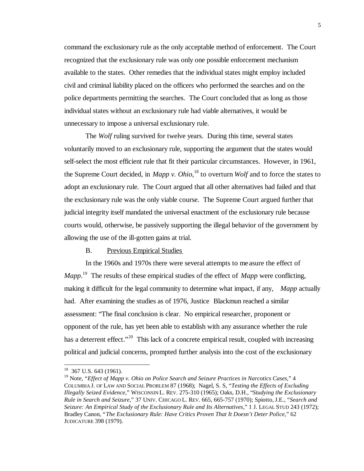command the exclusionary rule as the only acceptable method of enforcement. The Court recognized that the exclusionary rule was only one possible enforcement mechanism available to the states. Other remedies that the individual states might employ included civil and criminal liability placed on the officers who performed the searches and on the police departments permitting the searches. The Court concluded that as long as those individual states without an exclusionary rule had viable alternatives, it would be unnecessary to impose a universal exclusionary rule.

The *Wolf* ruling survived for twelve years. During this time, several states voluntarily moved to an exclusionary rule, supporting the argument that the states would self-select the most efficient rule that fit their particular circumstances. However, in 1961, the Supreme Court decided, in *Mapp v. Ohio*, <sup>18</sup> to overturn *Wolf* and to force the states to adopt an exclusionary rule. The Court argued that all other alternatives had failed and that the exclusionary rule was the only viable course. The Supreme Court argued further that judicial integrity itself mandated the universal enactment of the exclusionary rule because courts would, otherwise, be passively supporting the illegal behavior of the government by allowing the use of the ill-gotten gains at trial.

#### B. Previous Empirical Studies

In the 1960s and 1970s there were several attempts to me asure the effect of *Mapp*. <sup>19</sup> The results of these empirical studies of the effect of *Mapp* were conflicting, making it difficult for the legal community to determine what impact, if any, *Mapp* actually had. After examining the studies as of 1976, Justice Blackmun reached a similar assessment: "The final conclusion is clear. No empirical researcher, proponent or opponent of the rule, has yet been able to establish with any assurance whether the rule has a deterrent effect."<sup>20</sup> This lack of a concrete empirical result, coupled with increasing political and judicial concerns, prompted further analysis into the cost of the exclusionary

-

 $18$  367 U.S. 643 (1961).

<sup>19</sup> Note, *"Effect of Mapp v. Ohio on Police Search and Seizure Practices in Narcotics Cases*," 4 COLUMBIA J. OF LAW AND SOCIAL PROBLEM 87 (1968); Nagel, S. S, "*Testing the Effects of Excluding Illegally Seized Evidence*," WISCONSIN L. REV. 275-310 (1965); Oaks, D.H., "*Studying the Exclusionary Rule in Search and Seizure*," 37 UNIV. CHICAGO L. REV. 665, 665-757 (1970); Spiotto, J.E., "*Search and Seizure: An Empirical Study of the Exclusionary Rule and Its Alternatives*," 1 J. LEGAL STUD 243 (1972); Bradley Canon, "*The Exclusionary Rule: Have Critics Proven That It Doesn't Deter Police*," 62 JUDICATURE 398 (1979).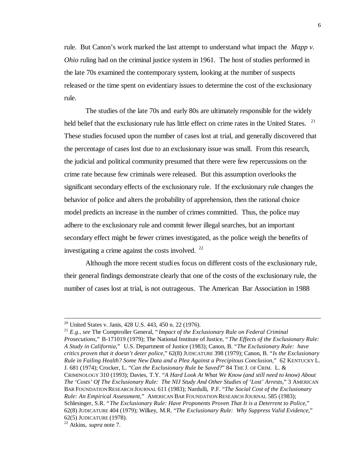rule. But Canon's work marked the last attempt to understand what impact the *Mapp v. Ohio* ruling had on the criminal justice system in 1961. The host of studies performed in the late 70s examined the contemporary system, looking at the number of suspects released or the time spent on evidentiary issues to determine the cost of the exclusionary rule.

The studies of the late 70s and early 80s are ultimately responsible for the widely held belief that the exclusionary rule has little effect on crime rates in the United States.<sup>21</sup> These studies focused upon the number of cases lost at trial, and generally discovered that the percentage of cases lost due to an exclusionary issue was small. From this research, the judicial and political community presumed that there were few repercussions on the crime rate because few criminals were released. But this assumption overlooks the significant secondary effects of the exclusionary rule. If the exclusionary rule changes the behavior of police and alters the probability of apprehension, then the rational choice model predicts an increase in the number of crimes committed. Thus, the police may adhere to the exclusionary rule and commit fewer illegal searches, but an important secondary effect might be fewer crimes investigated, as the police weigh the benefits of investigating a crime against the costs involved. <sup>22</sup>

Although the more recent studi es focus on different costs of the exclusionary rule, their general findings demonstrate clearly that one of the costs of the exclusionary rule, the number of cases lost at trial, is not outrageous. The American Bar Association in 1988

<sup>&</sup>lt;sup>20</sup> United States v. Janis, 428 U.S. 443, 450 n. 22 (1976).

<sup>21</sup> *E.g*., *see* The Comptroller General, "*Impact of the Exclusionary Rule on Federal Criminal Prosecutions*," B-171019 (1979); The National Institute of Justice, "*The Effects of the Exclusionary Rule: A Study in California*," U.S. Department of Justice (1983); Canon, B. "*The Exclusionary Rule: have critics proven that it doesn't deter police*," 62(8) JUDICATURE 398 (1979); Canon, B. "*Is the Exclusionary Rule in Failing Health? Some New Data and a Plea Against a Precipitous Conclusion*," 62 KENTUCKY L. J. 681 (1974); Crocker, L. "*Can the Exclusionary Rule be Saved*?" 84 THE J. OF CRIM. L. & CRIMINOLOGY 310 (1993); Davies, T.Y. "*A Hard Look At What We Know (and still need to know) About The 'Costs' Of The Exclusionary Rule: The NIJ Study And Other Studies of 'Lost' Arrests*," 3 AMERICAN BAR FOUNDATION RESEARCH JOURNAL 611 (1983); Nardulli, P.F. "*The Social Cost of the Exclusionary Rule: An Empirical Assessment*," AMERICAN BAR FOUNDATION RESEARCH JOURNAL 585 (1983); Schlesinger, S.R. "*The Exclusionary Rule: Have Proponents Proven That It is a Deterrent to Police*," 62(8) JUDICATURE 404 (1979); Wilkey, M.R. "*The Exclusionary Rule: Why Suppress Valid Evidence*," 62(5) JUDICATURE (1978).

<sup>22</sup> Atkins, *supra* note 7.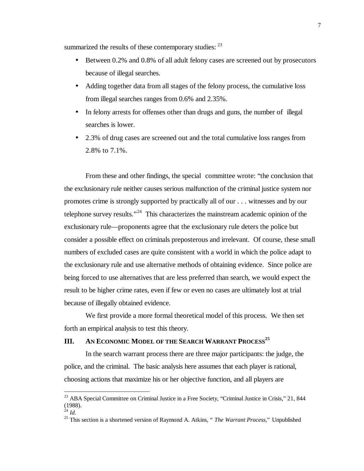summarized the results of these contemporary studies:  $2<sup>3</sup>$ 

- Between 0.2% and 0.8% of all adult felony cases are screened out by prosecutors because of illegal searches.
- Adding together data from all stages of the felony process, the cumulative loss from illegal searches ranges from 0.6% and 2.35%.
- In felony arrests for offenses other than drugs and guns, the number of illegal searches is lower.
- 2.3% of drug cases are screened out and the total cumulative loss ranges from 2.8% to 7.1%.

From these and other findings, the special committee wrote: "the conclusion that the exclusionary rule neither causes serious malfunction of the criminal justice system nor promotes crime is strongly supported by practically all of our . . . witnesses and by our telephone survey results."<sup>24</sup> This characterizes the mainstream academic opinion of the exclusionary rule— proponents agree that the exclusionary rule deters the police but consider a possible effect on criminals preposterous and irrelevant. Of course, these small numbers of excluded cases are quite consistent with a world in which the police adapt to the exclusionary rule and use alternative methods of obtaining evidence. Since police are being forced to use alternatives that are less preferred than search, we would expect the result to be higher crime rates, even if few or even no cases are ultimately lost at trial because of illegally obtained evidence.

We first provide a more formal theoretical model of this process. We then set forth an empirical analysis to test this theory.

#### **III. AN ECONOMIC MODEL OF THE SEARCH WARRANT PROCESS<sup>25</sup>**

In the search warrant process there are three major participants: the judge, the police, and the criminal. The basic analysis here assumes that each player is rational, choosing actions that maximize his or her objective function, and all players are

<sup>&</sup>lt;sup>23</sup> ABA Special Committee on Criminal Justice in a Free Society, "Criminal Justice in Crisis," 21, 844 (1988).

 $^{24}$  *Id.* 

<sup>25</sup> This section is a shortened version of Raymond A. Atkins, " *The Warrant Process*," Unpublished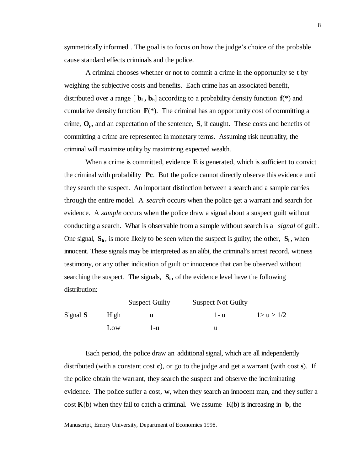symmetrically informed . The goal is to focus on how the judge's choice of the probable cause standard effects criminals and the police.

A criminal chooses whether or not to commit a crime in the opportunity se t by weighing the subjective costs and benefits. Each crime has an associated benefit, distributed over a range  $[\mathbf{b}_\mathbf{l}, \mathbf{b}_\mathbf{h}]$  according to a probability density function  $\mathbf{f}(\cdot)$  and cumulative density function  $\mathbf{F}(\cdot)$ . The criminal has an opportunity cost of committing a crime, **Op**, and an expectation of the sentence, **S**, if caught. These costs and benefits of committing a crime are represented in monetary terms. Assuming risk neutrality, the criminal will maximize utility by maximizing expected wealth.

When a crime is committed, evidence **E** is generated, which is sufficient to convict the criminal with probability **Pc**. But the police cannot directly observe this evidence until they search the suspect. An important distinction between a search and a sample carries through the entire model. A *search* occurs when the police get a warrant and search for evidence. A *sample* occurs when the police draw a signal about a suspect guilt without conducting a search. What is observable from a sample without search is a *signal* of guilt. One signal,  $S_h$ , is more likely to be seen when the suspect is guilty; the other,  $S_l$ , when innocent. These signals may be interpreted as an alibi, the criminal's arrest record, witness testimony, or any other indication of guilt or innocence that can be observed without searching the suspect. The signals,  $S_i$ , of the evidence level have the following distribution:

|            | <b>Suspect Guilty</b> |     | <b>Suspect Not Guilty</b> |             |
|------------|-----------------------|-----|---------------------------|-------------|
| Signal $S$ | High                  |     | 1- u                      | 1 > u > 1/2 |
|            | Low                   | 1-u |                           |             |

Each period, the police draw an additional signal, which are all independently distributed (with a constant cost **c**), or go to the judge and get a warrant (with cost **s**). If the police obtain the warrant, they search the suspect and observe the incriminating evidence. The police suffer a cost, **w**, when they search an innocent man, and they suffer a cost  $K(b)$  when they fail to catch a criminal. We assume  $K(b)$  is increasing in **b**, the

Manuscript, Emory University, Department of Economics 1998.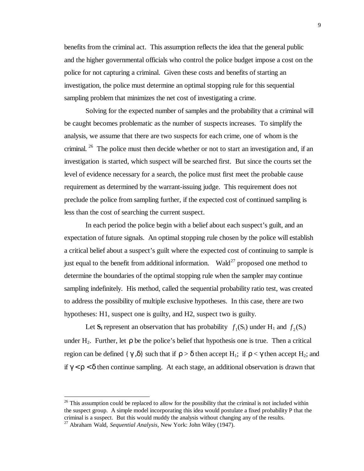benefits from the criminal act. This assumption reflects the idea that the general public and the higher governmental officials who control the police budget impose a cost on the police for not capturing a criminal. Given these costs and benefits of starting an investigation, the police must determine an optimal stopping rule for this sequential sampling problem that minimizes the net cost of investigating a crime.

Solving for the expected number of samples and the probability that a criminal will be caught becomes problematic as the number of suspects increases. To simplify the analysis, we assume that there are two suspects for each crime, one of whom is the criminal. <sup>26</sup> The police must then decide whether or not to start an investigation and, if an investigation is started, which suspect will be searched first. But since the courts set the level of evidence necessary for a search, the police must first meet the probable cause requirement as determined by the warrant-issuing judge. This requirement does not preclude the police from sampling further, if the expected cost of continued sampling is less than the cost of searching the current suspect.

In each period the police begin with a belief about each suspect's guilt, and an expectation of future signals. An optimal stopping rule chosen by the police will establish a critical belief about a suspect's guilt where the expected cost of continuing to sample is just equal to the benefit from additional information. Wald<sup>27</sup> proposed one method to determine the boundaries of the optimal stopping rule when the sampler may continue sampling indefinitely. His method, called the sequential probability ratio test, was created to address the possibility of multiple exclusive hypotheses. In this case, there are two hypotheses: H1, suspect one is guilty, and H2, suspect two is guilty.

Let  $S_i$  represent an observation that has probability  $f_1(S_i)$  under  $H_1$  and  $f_2(S_i)$ under  $H_2$ . Further, let **r** be the police's belief that hypothesis one is true. Then a critical region can be defined {  $\gamma$ , δ} such that if  $\rho > \delta$  then accept H<sub>1</sub>; if  $\rho < \gamma$  then accept H<sub>2</sub>; and if  $\gamma < \rho < \delta$  then continue sampling. At each stage, an additional observation is drawn that

 $26$  This assumption could be replaced to allow for the possibility that the criminal is not included within the suspect group. A simple model incorporating this idea would postulate a fixed probability P that the criminal is a suspect. But this would muddy the analysis without changing any of the results.

<sup>27</sup> Abraham Wald, *Sequential Analysis*, New York: John Wiley (1947).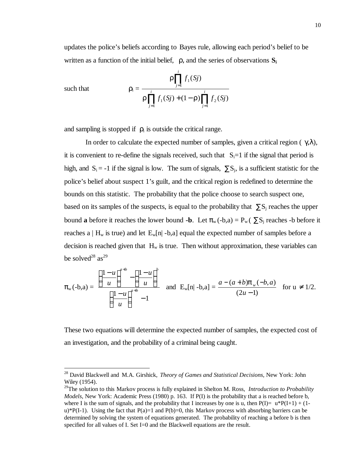updates the police's beliefs according to Bayes rule, allowing each period's belief to be written as a function of the initial belief, ρ, and the series of observations **S<sup>i</sup>**

such that  $\rho$ 

 $\overline{a}$ 

$$
p_{i} = \frac{\mathbf{r} \prod_{j=1}^{i} f_{1}(Sj)}{\mathbf{r} \prod_{j=1}^{i} f_{1}(Sj) + (1-\mathbf{r}) \prod_{j=1}^{i} f_{2}(Sj)}
$$

*i*

and sampling is stopped if  $\rho_i$  is outside the critical range.

In order to calculate the expected number of samples, given a critical region ( $\gamma$ ,λ), it is convenient to re-define the signals received, such that  $S_i=1$  if the signal that period is high, and  $S_i = -1$  if the signal is low. The sum of signals,  $\sum S_i$ , is a sufficient statistic for the police's belief about suspect 1's guilt, and the critical region is redefined to determine the bounds on this statistic. The probability that the police choose to search suspect one, based on its samples of the suspects, is equal to the probability that  $\sum S_i$  reaches the upper bound **a** before it reaches the lower bound **-b**. Let  $\pi_w(-b,a) = P_w(\sum S_i$  reaches -b before it reaches a  $| H_w$  is true) and let  $E_w[n]$  -b,a] equal the expected number of samples before a decision is reached given that  $H_w$  is true. Then without approximation, these variables can be solved<sup>28</sup> as<sup>29</sup>

$$
\pi_{\mathbf{w}}(-\mathbf{b},\mathbf{a}) = \frac{\left(\frac{1-u}{u}\right)^{a+b} - \left(\frac{1-u}{u}\right)^b}{\left(\frac{1-u}{u}\right)^{a+b}} \text{ and } \mathbf{E}_{\mathbf{w}}[\mathbf{n}] - \mathbf{b},\mathbf{a}] = \frac{a - (a+b)\mathbf{p}_{\mathbf{w}}(-b,a)}{(2u-1)} \text{ for } \mathbf{u} \neq 1/2.
$$

These two equations will determine the expected number of samples, the expected cost of an investigation, and the probability of a criminal being caught.

<sup>28</sup> David Blackwell and M.A. Girshick, *Theory of Games and Statistical Decisions*, New York: John Wiley (1954).

<sup>29</sup>The solution to this Markov process is fully explained in Shelton M. Ross, *Introduction to Probability Models*, New York: Academic Press (1980) p. 163. If P(I) is the probability that a is reached before b, where I is the sum of signals, and the probability that I increases by one is u, then  $P(I)= u^*P(I+1) + (1-t)P(I+1)$ u)\*P(I-1). Using the fact that P(a)=1 and P(b)=0, this Markov process with absorbing barriers can be determined by solving the system of equations generated. The probability of reaching a before b is then specified for all values of I. Set I=0 and the Blackwell equations are the result.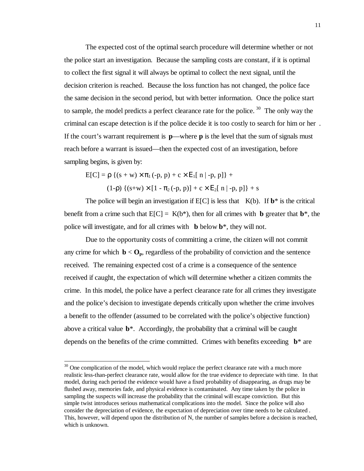The expected cost of the optimal search procedure will determine whether or not the police start an investigation. Because the sampling costs are constant, if it is optimal to collect the first signal it will always be optimal to collect the next signal, until the decision criterion is reached. Because the loss function has not changed, the police face the same decision in the second period, but with better information. Once the police start to sample, the model predicts a perfect clearance rate for the police.  $30$  The only way the criminal can escape detection is if the police decide it is too costly to search for him or her . If the court's warrant requirement is **p**— where **p** is the level that the sum of signals must reach before a warrant is issued— then the expected cost of an investigation, before sampling begins, is given by:

 $E[C] = \rho \{ (s + w) \times \pi_1(-p, p) + c \times E_1[n | -p, p] \} +$ 

 $(1-p)$   $\{(s+w) \times [1 - \pi_2(-p, p)] + c \times E_2[n | -p, p]\} + s$ 

The police will begin an investigation if  $E[C]$  is less that  $K(b)$ . If  $b^*$  is the critical benefit from a crime such that  $E[C] = K(b^*)$ , then for all crimes with **b** greater that  $b^*$ , the police will investigate, and for all crimes with **b** below **b**\*, they will not.

Due to the opportunity costs of committing a crime, the citizen will not commit any crime for which  $\mathbf{b} < \mathbf{O}_p$ , regardless of the probability of conviction and the sentence received. The remaining expected cost of a crime is a consequence of the sentence received if caught, the expectation of which will determine whether a citizen commits the crime. In this model, the police have a perfect clearance rate for all crimes they investigate and the police's decision to investigate depends critically upon whether the crime involves a benefit to the offender (assumed to be correlated with the police's objective function) above a critical value  $\mathbf{b}^*$ . Accordingly, the probability that a criminal will be caught depends on the benefits of the crime committed. Crimes with benefits exceeding **b**\* are

 $30$  One complication of the model, which would replace the perfect clearance rate with a much more realistic less-than-perfect clearance rate, would allow for the true evidence to depreciate with time. In that model, during each period the evidence would have a fixed probability of disappearing, as drugs may be flushed away, memories fade, and physical evidence is contaminated. Any time taken by the police in sampling the suspects will increase the probability that the criminal will escape conviction. But this simple twist introduces serious mathematical complications into the model. Since the police will also consider the depreciation of evidence, the expectation of depreciation over time needs to be calculated . This, however, will depend upon the distribution of N, the number of samples before a decision is reached, which is unknown.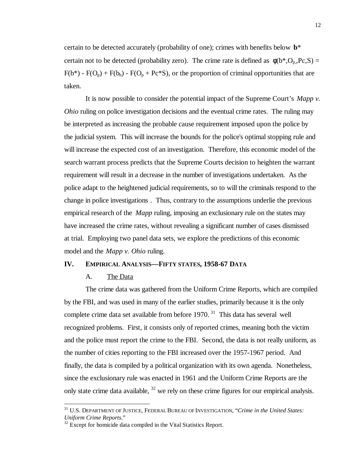certain to be detected accurately (probability of one); crimes with benefits below **b**\* certain not to be detected (probability zero). The crime rate is defined as  $\phi(b*,O_{p},P_{c},S)$  =  $F(b^*)$  -  $F(O_p)$  +  $F(b_h)$  -  $F(O_p + Pc^*S)$ , or the proportion of criminal opportunities that are taken.

It is now possible to consider the potential impact of the Supreme Court's *Mapp v. Ohio* ruling on police investigation decisions and the eventual crime rates. The ruling may be interpreted as increasing the probable cause requirement imposed upon the police by the judicial system. This will increase the bounds for the police's optimal stopping rule and will increase the expected cost of an investigation. Therefore, this economic model of the search warrant process predicts that the Supreme Courts decision to heighten the warrant requirement will result in a decrease in the number of investigations undertaken. As the police adapt to the heightened judicial requirements, so to will the criminals respond to the change in police investigations . Thus, contrary to the assumptions underlie the previous empirical research of the *Mapp* ruling, imposing an exclusionary rule on the states may have increased the crime rates, without revealing a significant number of cases dismissed at trial. Employing two panel data sets, we explore the predictions of this economic model and the *Mapp v. Ohio* ruling.

#### **IV. EMPIRICAL ANALYSIS— FIFTY STATES, 1958-67 DATA**

#### A. The Data

-

The crime data was gathered from the Uniform Crime Reports, which are compiled by the FBI, and was used in many of the earlier studies, primarily because it is the only complete crime data set available from before 1970.<sup>31</sup> This data has several well recognized problems. First, it consists only of reported crimes, meaning both the victim and the police must report the crime to the FBI. Second, the data is not really uniform, as the number of cities reporting to the FBI increased over the 1957-1967 period. And finally, the data is compiled by a political organization with its own agenda. Nonetheless, since the exclusionary rule was enacted in 1961 and the Uniform Crime Reports are the only state crime data available,  $32$  we rely on these crime figures for our empirical analysis.

<sup>31</sup> U.S. DEPARTMENT OF JUSTICE, FEDERAL BUREAU OF INVESTIGATION, "*Crime in the United States: Uniform Crime Reports*."

 $32$  Except for homicide data compiled in the Vital Statistics Report.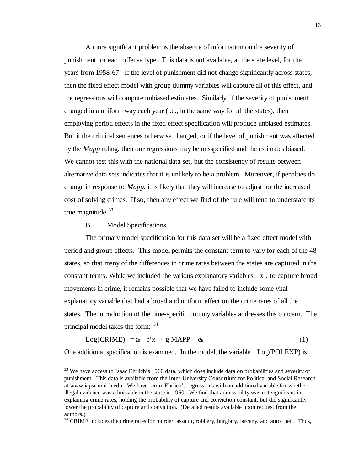A more significant problem is the absence of information on the severity of punishment for each offense type. This data is not available, at the state level, for the years from 1958-67. If the level of punishment did not change significantly across states, then the fixed effect model with group dummy variables will capture all of this effect, and the regressions will compute unbiased estimates. Similarly, if the severity of punishment changed in a uniform way each year (i.e., in the same way for all the states), then employing period effects in the fixed effect specification will produce unbiased estimates. But if the criminal sentences otherwise changed, or if the level of punishment was affected by the *Mapp* ruling, then our regressions may be misspecified and the estimates biased. We cannot test this with the national data set, but the consistency of results between alternative data sets indicates that it is unlikely to be a problem. Moreover, if penalties do change in response to *Mapp*, it is likely that they will increase to adjust for the increased cost of solving crimes. If so, then any effect we find of the rule will tend to understate its true magnitude.<sup>33</sup>

#### B. Model Specifications

 $\overline{\phantom{a}}$ 

The primary model specification for this data set will be a fixed effect model with period and group effects. This model permits the constant term to vary for each of the 48 states, so that many of the differences in crime rates between the states are captured in the constant terms. While we included the various explanatory variables,  $x_{it}$ , to capture broad movements in crime, it remains possible that we have failed to include some vital explanatory variable that had a broad and uniform effect on the crime rates of all the states. The introduction of the time-specific dummy variables addresses this concern. The principal model takes the form:  $34$ 

$$
Log(CRIME)_{it} = a_i + b'x_{it} + g MAPP + e_{it}
$$
 (1)

One additional specification is examined. In the model, the variable Log(POLEXP) is

<sup>&</sup>lt;sup>33</sup> We have access to Isaac Ehrlich's 1960 data, which does include data on probabilities and severity of punishment. This data is available from the Inter-University Consortium for Political and Social Research at www.icpsr.umich.edu. We have rerun Ehrlich's regressions with an additional variable for whether illegal evidence was admissible in the state in 1960. We find that admissibility was not significant in explaining crime rates, holding the probability of capture and conviction constant, but did significantly lower the probability of capture and conviction. (Detailed results available upon request from the authors.)

<sup>&</sup>lt;sup>34</sup> CRIME includes the crime rates for murder, assault, robbery, burglary, larceny, and auto theft. Thus,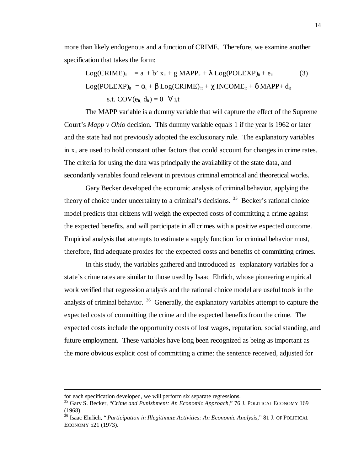more than likely endogenous and a function of CRIME. Therefore, we examine another specification that takes the form:

Log(CRIME)<sub>it</sub> = 
$$
a_i + b' x_{it} + g \text{ MAPP}_{it} + \lambda \text{ Log(POLEXP)}_{it} + e_{it}
$$
 (3)  
Log(POLEXP)<sub>it</sub> =  $\alpha_i + \beta \text{ Log(CRIME)}_{it} + \chi \text{ INCOME}_{it} + \delta \text{ MAPP} + d_{it}$   
s.t. COV( $e_{it}$ ,  $d_{it}$ ) = 0  $\forall$  i,t

The MAPP variable is a dummy variable that will capture the effect of the Supreme Court's *Mapp v Ohio* decision. This dummy variable equals 1 if the year is 1962 or later and the state had not previously adopted the exclusionary rule. The explanatory variables in  $x_{it}$  are used to hold constant other factors that could account for changes in crime rates. The criteria for using the data was principally the availability of the state data, and secondarily variables found relevant in previous criminal empirical and theoretical works.

Gary Becker developed the economic analysis of criminal behavior, applying the theory of choice under uncertainty to a criminal's decisions.  $35$  Becker's rational choice model predicts that citizens will weigh the expected costs of committing a crime against the expected benefits, and will participate in all crimes with a positive expected outcome. Empirical analysis that attempts to estimate a supply function for criminal behavior must, therefore, find adequate proxies for the expected costs and benefits of committing crimes.

In this study, the variables gathered and introduced as explanatory variables for a state's crime rates are similar to those used by Isaac Ehrlich, whose pioneering empirical work verified that regression analysis and the rational choice model are useful tools in the analysis of criminal behavior.  $36$  Generally, the explanatory variables attempt to capture the expected costs of committing the crime and the expected benefits from the crime. The expected costs include the opportunity costs of lost wages, reputation, social standing, and future employment. These variables have long been recognized as being as important as the more obvious explicit cost of committing a crime: the sentence received, adjusted for

 $\overline{\phantom{a}}$ 

for each specification developed, we will perform six separate regressions.

<sup>35</sup> Gary S. Becker, "*Crime and Punishment: An Economic Approach*," 76 J. POLITICAL ECONOMY 169 (1968).

<sup>36</sup> Isaac Ehrlich, "*Participation in Illegitimate Activities: An Economic Analysis*," 81 J. OF POLITICAL ECONOMY 521 (1973).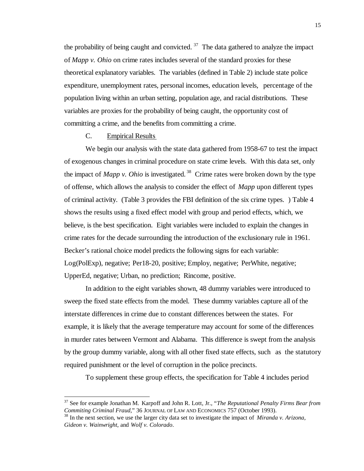the probability of being caught and convicted.  $37$  The data gathered to analyze the impact of *Mapp v. Ohio* on crime rates includes several of the standard proxies for these theoretical explanatory variables. The variables (defined in Table 2) include state police expenditure, unemployment rates, personal incomes, education levels, percentage of the population living within an urban setting, population age, and racial distributions. These variables are proxies for the probability of being caught, the opportunity cost of committing a crime, and the benefits from committing a crime.

#### C. Empirical Results

 $\overline{\phantom{a}}$ 

We begin our analysis with the state data gathered from 1958-67 to test the impact of exogenous changes in criminal procedure on state crime levels. With this data set, only the impact of *Mapp v. Ohio* is investigated.<sup>38</sup> Crime rates were broken down by the type of offense, which allows the analysis to consider the effect of *Mapp* upon different types of criminal activity. (Table 3 provides the FBI definition of the six crime types. ) Table 4 shows the results using a fixed effect model with group and period effects, which, we believe, is the best specification. Eight variables were included to explain the changes in crime rates for the decade surrounding the introduction of the exclusionary rule in 1961. Becker's rational choice model predicts the following signs for each variable: Log(PolExp), negative; Per18-20, positive; Employ, negative; PerWhite, negative; UpperEd, negative; Urban, no prediction; Rincome, positive.

In addition to the eight variables shown, 48 dummy variables were introduced to sweep the fixed state effects from the model. These dummy variables capture all of the interstate differences in crime due to constant differences between the states. For example, it is likely that the average temperature may account for some of the differences in murder rates between Vermont and Alabama. This difference is swept from the analysis by the group dummy variable, along with all other fixed state effects, such as the statutory required punishment or the level of corruption in the police precincts.

To supplement these group effects, the specification for Table 4 includes period

<sup>37</sup> See for example Jonathan M. Karpoff and John R. Lott, Jr., "*The Reputational Penalty Firms Bear from Commiting Criminal Fraud*," 36 JOURNAL OF LAW AND ECONOMICS 757 (October 1993).

<sup>38</sup> In the next section, we use the larger city data set to investigate the impact of *Miranda v. Arizona*, *Gideon v. Wainwright*, and *Wolf v. Colorado*.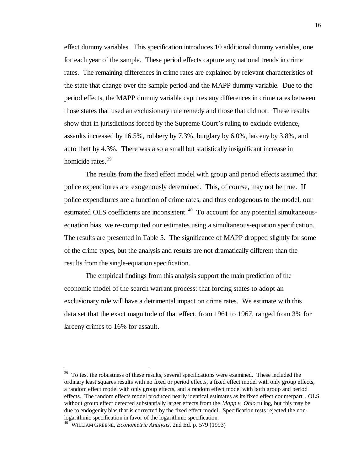effect dummy variables. This specification introduces 10 additional dummy variables, one for each year of the sample. These period effects capture any national trends in crime rates. The remaining differences in crime rates are explained by relevant characteristics of the state that change over the sample period and the MAPP dummy variable. Due to the period effects, the MAPP dummy variable captures any differences in crime rates between those states that used an exclusionary rule remedy and those that did not. These results show that in jurisdictions forced by the Supreme Court's ruling to exclude evidence, assaults increased by 16.5%, robbery by 7.3%, burglary by 6.0%, larceny by 3.8%, and auto theft by 4.3%. There was also a small but statistically insignificant increase in homicide rates.<sup>39</sup>

The results from the fixed effect model with group and period effects assumed that police expenditures are exogenously determined. This, of course, may not be true. If police expenditures are a function of crime rates, and thus endogenous to the model, our estimated OLS coefficients are inconsistent.  $40\degree$  To account for any potential simultaneousequation bias, we re-computed our estimates using a simultaneous-equation specification. The results are presented in Table 5. The significance of MAPP dropped slightly for some of the crime types, but the analysis and results are not dramatically different than the results from the single-equation specification.

The empirical findings from this analysis support the main prediction of the economic model of the search warrant process: that forcing states to adopt an exclusionary rule will have a detrimental impact on crime rates. We estimate with this data set that the exact magnitude of that effect, from 1961 to 1967, ranged from 3% for larceny crimes to 16% for assault.

 $\overline{\phantom{a}}$ 

<sup>&</sup>lt;sup>39</sup> To test the robustness of these results, several specifications were examined. These included the ordinary least squares results with no fixed or period effects, a fixed effect model with only group effects, a random effect model with only group effects, and a random effect model with both group and period effects. The random effects model produced nearly identical estimates as its fixed effect counterpart . OLS without group effect detected substantially larger effects from the *Mapp v. Ohio* ruling, but this may be due to endogenity bias that is corrected by the fixed effect model. Specification tests rejected the nonlogarithmic specification in favor of the logarithmic specification.

<sup>40</sup> WILLIAM GREENE, *Econometric Analysis*, 2nd Ed. p. 579 (1993)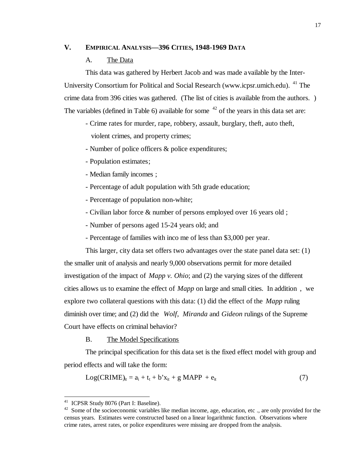#### **V. EMPIRICAL ANALYSIS— 396 CITIES, 1948-1969 DATA**

#### A. The Data

This data was gathered by Herbert Jacob and was made available by the Inter-University Consortium for Political and Social Research (www.icpsr.umich.edu). <sup>41</sup> The crime data from 396 cities was gathered. (The list of cities is available from the authors. ) The variables (defined in Table 6) available for some  $42$  of the years in this data set are:

- Crime rates for murder, rape, robbery, assault, burglary, theft, auto theft, violent crimes, and property crimes;
- Number of police officers & police expenditures;
- Population estimates;
- Median family incomes ;
- Percentage of adult population with 5th grade education;
- Percentage of population non-white;
- Civilian labor force & number of persons employed over 16 years old ;
- Number of persons aged 15-24 years old; and
- Percentage of families with inco me of less than \$3,000 per year.

This larger, city data set offers two advantages over the state panel data set: (1) the smaller unit of analysis and nearly 9,000 observations permit for more detailed investigation of the impact of *Mapp v. Ohio*; and (2) the varying sizes of the different cities allows us to examine the effect of *Mapp* on large and small cities. In addition , we explore two collateral questions with this data: (1) did the effect of the *Mapp* ruling diminish over time; and (2) did the *Wolf*, *Miranda* and *Gideon* rulings of the Supreme Court have effects on criminal behavior?

#### B. The Model Specifications

The principal specification for this data set is the fixed effect model with group and period effects and will take the form:

$$
Log(CRIME)_{it} = a_i + t_t + b'x_{it} + g MAPP + e_{it}
$$
\n(7)

 $\overline{\phantom{a}}$ 

<sup>&</sup>lt;sup>41</sup> ICPSR Study 8076 (Part I: Baseline).

 $42$  Some of the socioeconomic variables like median income, age, education, etc ., are only provided for the census years. Estimates were constructed based on a linear logarithmic function. Observations where crime rates, arrest rates, or police expenditures were missing are dropped from the analysis.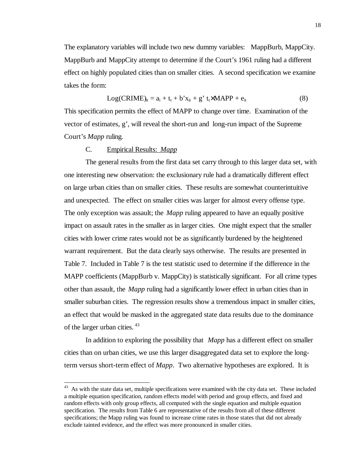The explanatory variables will include two new dummy variables: MappBurb, MappCity. MappBurb and MappCity attempt to determine if the Court's 1961 ruling had a different effect on highly populated cities than on smaller cities. A second specification we examine takes the form:

$$
Log(CRIME)_{it} = a_i + t_t + b'x_{it} + g' t_t \times MAPP + e_{it}
$$
\n(8)

This specification permits the effect of MAPP to change over time. Examination of the vector of estimates, g', will reveal the short-run and long-run impact of the Supreme Court's *Mapp* ruling.

#### C. Empirical Results: *Mapp*

-

The general results from the first data set carry through to this larger data set, with one interesting new observation: the exclusionary rule had a dramatically different effect on large urban cities than on smaller cities. These results are somewhat counterintuitive and unexpected. The effect on smaller cities was larger for almost every offense type. The only exception was assault; the *Mapp* ruling appeared to have an equally positive impact on assault rates in the smaller as in larger cities. One might expect that the smaller cities with lower crime rates would not be as significantly burdened by the heightened warrant requirement. But the data clearly says otherwise. The results are presented in Table 7. Included in Table 7 is the test statistic used to determine if the difference in the MAPP coefficients (MappBurb v. MappCity) is statistically significant. For all crime types other than assault, the *Mapp* ruling had a significantly lower effect in urban cities than in smaller suburban cities. The regression results show a tremendous impact in smaller cities, an effect that would be masked in the aggregated state data results due to the dominance of the larger urban cities. <sup>43</sup>

In addition to exploring the possibility that *Mapp* has a different effect on smaller cities than on urban cities, we use this larger disaggregated data set to explore the longterm versus short-term effect of *Mapp*. Two alternative hypotheses are explored. It is

<sup>&</sup>lt;sup>43</sup> As with the state data set, multiple specifications were examined with the city data set. These included a multiple equation specification, random effects model with period and group effects, and fixed and random effects with only group effects, all computed with the single equation and multiple equation specification. The results from Table 6 are representative of the results from all of these different specifications; the Mapp ruling was found to increase crime rates in those states that did not already exclude tainted evidence, and the effect was more pronounced in smaller cities.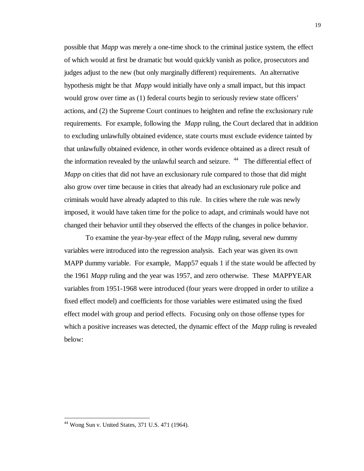possible that *Mapp* was merely a one-time shock to the criminal justice system, the effect of which would at first be dramatic but would quickly vanish as police, prosecutors and judges adjust to the new (but only marginally different) requirements. An alternative hypothesis might be that *Mapp* would initially have only a small impact, but this impact would grow over time as (1) federal courts begin to seriously review state officers' actions, and (2) the Supreme Court continues to heighten and refine the exclusionary rule requirements. For example, following the *Mapp* ruling, the Court declared that in addition to excluding unlawfully obtained evidence, state courts must exclude evidence tainted by that unlawfully obtained evidence, in other words evidence obtained as a direct result of the information revealed by the unlawful search and seizure. <sup>44</sup> The differential effect of *Mapp* on cities that did not have an exclusionary rule compared to those that did might also grow over time because in cities that already had an exclusionary rule police and criminals would have already adapted to this rule. In cities where the rule was newly imposed, it would have taken time for the police to adapt, and criminals would have not changed their behavior until they observed the effects of the changes in police behavior.

To examine the year-by-year effect of the *Mapp* ruling, several new dummy variables were introduced into the regression analysis. Each year was given its own MAPP dummy variable. For example, Mapp57 equals 1 if the state would be affected by the 1961 *Mapp* ruling and the year was 1957, and zero otherwise. These MAPPYEAR variables from 1951-1968 were introduced (four years were dropped in order to utilize a fixed effect model) and coefficients for those variables were estimated using the fixed effect model with group and period effects. Focusing only on those offense types for which a positive increases was detected, the dynamic effect of the *Mapp* ruling is revealed below:

-

<sup>44</sup> Wong Sun v. United States, 371 U.S. 471 (1964).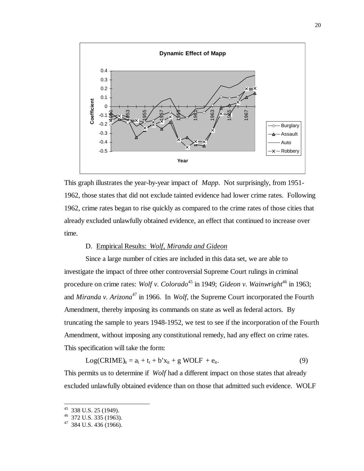

This graph illustrates the year-by-year impact of *Mapp*. Not surprisingly, from 1951- 1962, those states that did not exclude tainted evidence had lower crime rates. Following 1962, crime rates began to rise quickly as compared to the crime rates of those cities that already excluded unlawfully obtained evidence, an effect that continued to increase over time.

### D. Empirical Results: *Wolf, Miranda and Gideon*

Since a large number of cities are included in this data set, we are able to investigate the impact of three other controversial Supreme Court rulings in criminal procedure on crime rates: *Wolf v. Colorado*<sup>45</sup> in 1949; *Gideon v. Wainwright*<sup>46</sup> in 1963; and *Miranda v. Arizona*<sup>47</sup> in 1966. In *Wolf*, the Supreme Court incorporated the Fourth Amendment, thereby imposing its commands on state as well as federal actors. By truncating the sample to years 1948-1952, we test to see if the incorporation of the Fourth Amendment, without imposing any constitutional remedy, had any effect on crime rates. This specification will take the form:

$$
Log(CRIME)_{it} = a_i + t_t + b'x_{it} + g WOLF + e_{it}.
$$
\n(9)

This permits us to determine if *Wolf* had a different impact on those states that already excluded unlawfully obtained evidence than on those that admitted such evidence. WOLF

 $\overline{\phantom{a}}$ 

<sup>&</sup>lt;sup>45</sup> 338 U.S. 25 (1949).

<sup>46</sup> 372 U.S. 335 (1963).

<sup>384</sup> U.S. 436 (1966).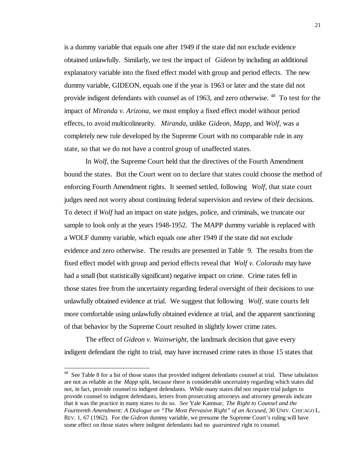is a dummy variable that equals one after 1949 if the state did not exclude evidence obtained unlawfully. Similarly, we test the impact of *Gideon* by including an additional explanatory variable into the fixed effect model with group and period effects. The new dummy variable, GIDEON, equals one if the year is 1963 or later and the state did not provide indigent defendants with counsel as of 1963, and zero otherwise. <sup>48</sup> To test for the impact of *Miranda v. Arizona*, we must employ a fixed effect model without period effects, to avoid multicolinearity. *Miranda*, unlike *Gideon*, *Mapp*, and *Wolf*, was a completely new rule developed by the Supreme Court with no comparable rule in any state, so that we do not have a control group of unaffected states.

In *Wolf*, the Supreme Court held that the directives of the Fourth Amendment bound the states. But the Court went on to declare that states could choose the method of enforcing Fourth Amendment rights. It seemed settled, following *Wolf*, that state court judges need not worry about continuing federal supervision and review of their decisions. To detect if *Wolf* had an impact on state judges, police, and criminals, we truncate our sample to look only at the years 1948-1952. The MAPP dummy variable is replaced with a WOLF dummy variable, which equals one after 1949 if the state did not exclude evidence and zero otherwise. The results are presented in Table 9. The results from the fixed effect model with group and period effects reveal that *Wolf v. Colorado* may have had a small (but statistically significant) negative impact on crime. Crime rates fell in those states free from the uncertainty regarding federal oversight of their decisions to use unlawfully obtained evidence at trial. We suggest that following *Wolf*, state courts felt more comfortable using unlawfully obtained evidence at trial, and the apparent sanctioning of that behavior by the Supreme Court resulted in slightly lower crime rates.

The effect of *Gideon v. Wainwright*, the landmark decision that gave every indigent defendant the right to trial, may have increased crime rates in those 15 states that

-

<sup>&</sup>lt;sup>48</sup> See Table 8 for a list of those states that provided indigent defendants counsel at trial. These tabulation are not as reliable as the *Mapp* split, because there is considerable uncertainty regarding which states did not, in fact, provide counsel to indigent defendants. While many states did not require trial judges to provide counsel to indigent defendants, letters from prosecuting attorneys and attorney generals indicate that it was the practice in many states to do so. *See* Yale Kamisar, *The Right to Counsel and the Fourteenth Amendment: A Dialogue on "The Most Pervasive Right" of an Accused*, 30 UNIV. CHICAGO L. REV. 1, 67 (1962). For the *Gideon* dummy variable, we presume the Supreme Court's ruling will have some effect on those states where indigent defendants had no *guaranteed* right to counsel.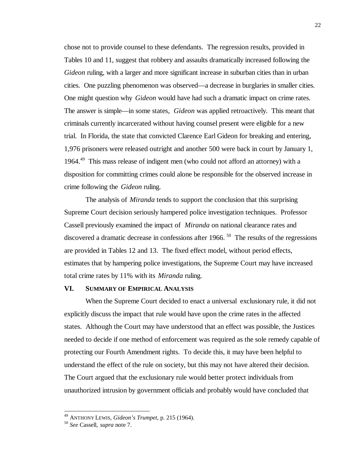chose not to provide counsel to these defendants. The regression results, provided in Tables 10 and 11, suggest that robbery and assaults dramatically increased following the *Gideon* ruling, with a larger and more significant increase in suburban cities than in urban cities. One puzzling phenomenon was observed— a decrease in burglaries in smaller cities. One might question why *Gideon* would have had such a dramatic impact on crime rates. The answer is simple—in some states, *Gideon* was applied retroactively. This meant that criminals currently incarcerated without having counsel present were eligible for a new trial. In Florida, the state that convicted Clarence Earl Gideon for breaking and entering, 1,976 prisoners were released outright and another 500 were back in court by January 1, 1964.<sup>49</sup> This mass release of indigent men (who could not afford an attorney) with a disposition for committing crimes could alone be responsible for the observed increase in crime following the *Gideon* ruling.

The analysis of *Miranda* tends to support the conclusion that this surprising Supreme Court decision seriously hampered police investigation techniques. Professor Cassell previously examined the impact of *Miranda* on national clearance rates and discovered a dramatic decrease in confessions after 1966.  $50$  The results of the regressions are provided in Tables 12 and 13. The fixed effect model, without period effects, estimates that by hampering police investigations, the Supreme Court may have increased total crime rates by 11% with its *Miranda* ruling.

### **VI. SUMMARY OF EMPIRICAL ANALYSIS**

When the Supreme Court decided to enact a universal exclusionary rule, it did not explicitly discuss the impact that rule would have upon the crime rates in the affected states. Although the Court may have understood that an effect was possible, the Justices needed to decide if one method of enforcement was required as the sole remedy capable of protecting our Fourth Amendment rights. To decide this, it may have been helpful to understand the effect of the rule on society, but this may not have altered their decision. The Court argued that the exclusionary rule would better protect individuals from unauthorized intrusion by government officials and probably would have concluded that

 $\overline{\phantom{a}}$ 

<sup>49</sup> ANTHONY LEWIS, *Gideon's Trumpet*, p. 215 (1964).

<sup>50</sup> *See* Cassell, *supra* note 7.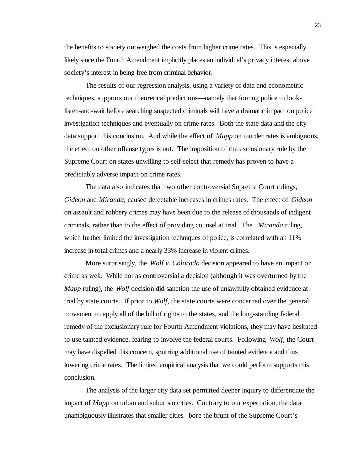the benefits to society outweighed the costs from higher crime rates. This is especially likely since the Fourth Amendment implicitly places an individual's privacy interest above society's interest in being free from criminal behavior.

The results of our regression analysis, using a variety of data and econometric techniques, supports our theoretical predictions— namely that forcing police to looklisten-and-wait before searching suspected criminals will have a dramatic impact on police investigation techniques and eventually on crime rates. Both the state data and the city data support this conclusion. And while the effect of *Mapp* on murder rates is ambiguous, the effect on other offense types is not. The imposition of the exclusionary rule by the Supreme Court on states unwilling to self-select that remedy has proven to have a predictably adverse impact on crime rates.

The data also indicates that two other controversial Supreme Court rulings, *Gideon* and *Miranda*, caused detectable increases in crimes rates. The effect of *Gideon* on assault and robbery crimes may have been due to the release of thousands of indigent criminals, rather than to the effect of providing counsel at trial. The *Miranda* ruling, which further limited the investigation techniques of police, is correlated with an  $11\%$ increase in total crimes and a nearly 33% increase in violent crimes.

More surprisingly, the *Wolf v. Colorado* decision appeared to have an impact on crime as well. While not as controversial a decision (although it was overturned by the *Mapp* ruling), the *Wolf* decision did sanction the use of unlawfully obtained evidence at trial by state courts. If prior to *Wolf*, the state courts were concerned over the general movement to apply all of the bill of rights to the states, and the long-standing federal remedy of the exclusionary rule for Fourth Amendment violations, they may have hesitated to use tainted evidence, fearing to involve the federal courts. Following *Wolf*, the Court may have dispelled this concern, spurring additional use of tainted evidence and thus lowering crime rates. The limited empirical analysis that we could perform supports this conclusion.

The analysis of the larger city data set permitted deeper inquiry to differentiate the impact of *Mapp* on urban and suburban cities. Contrary to our expectation, the data unambiguously illustrates that smaller cities bore the brunt of the Supreme Court's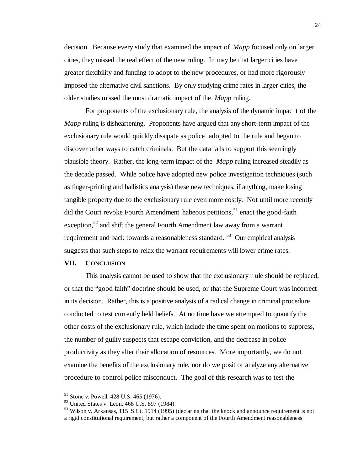decision. Because every study that examined the impact of *Mapp* focused only on larger cities, they missed the real effect of the new ruling. In may be that larger cities have greater flexibility and funding to adopt to the new procedures, or had more rigorously imposed the alternative civil sanctions. By only studying crime rates in larger cities, the older studies missed the most dramatic impact of the *Mapp* ruling.

For proponents of the exclusionary rule, the analysis of the dynamic impac t of the *Mapp* ruling is disheartening. Proponents have argued that any short-term impact of the exclusionary rule would quickly dissipate as police adopted to the rule and began to discover other ways to catch criminals. But the data fails to support this seemingly plausible theory. Rather, the long-term impact of the *Mapp* ruling increased steadily as the decade passed. While police have adopted new police investigation techniques (such as finger-printing and ballistics analysis) these new techniques, if anything, make losing tangible property due to the exclusionary rule even more costly. Not until more recently did the Court revoke Fourth Amendment habeous petitions,  $51$  enact the good-faith exception,<sup>52</sup> and shift the general Fourth Amendment law away from a warrant requirement and back towards a reasonableness standard. <sup>53</sup> Our empirical analysis suggests that such steps to relax the warrant requirements will lower crime rates.

#### **VII. CONCLUSION**

This analysis cannot be used to show that the exclusionary r ule should be replaced, or that the "good faith" doctrine should be used, or that the Supreme Court was incorrect in its decision. Rather, this is a positive analysis of a radical change in criminal procedure conducted to test currently held beliefs. At no time have we attempted to quantify the other costs of the exclusionary rule, which include the time spent on motions to suppress, the number of guilty suspects that escape conviction, and the decrease in police productivity as they alter their allocation of resources. More importantly, we do not examine the benefits of the exclusionary rule, nor do we posit or analyze any alternative procedure to control police misconduct. The goal of this research was to test the

-

<sup>51</sup> Stone v. Powell, 428 U.S. 465 (1976).

<sup>52</sup> United States v. Leon, 468 U.S. 897 (1984).

<sup>&</sup>lt;sup>53</sup> Wilson v. Arkansas, 115 S.Ct. 1914 (1995) (declaring that the knock and announce requirement is not a rigid constitutional requirement, but rather a component of the Fourth Amendment reasonableness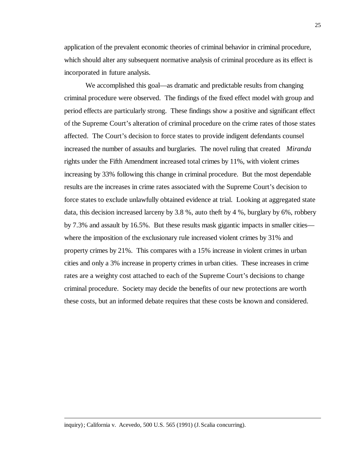application of the prevalent economic theories of criminal behavior in criminal procedure, which should alter any subsequent normative analysis of criminal procedure as its effect is incorporated in future analysis.

We accomplished this goal—as dramatic and predictable results from changing criminal procedure were observed. The findings of the fixed effect model with group and period effects are particularly strong. These findings show a positive and significant effect of the Supreme Court's alteration of criminal procedure on the crime rates of those states affected. The Court's decision to force states to provide indigent defendants counsel increased the number of assaults and burglaries. The novel ruling that created *Miranda* rights under the Fifth Amendment increased total crimes by 11%, with violent crimes increasing by 33% following this change in criminal procedure. But the most dependable results are the increases in crime rates associated with the Supreme Court's decision to force states to exclude unlawfully obtained evidence at trial. Looking at aggregated state data, this decision increased larceny by 3.8 %, auto theft by 4 %, burglary by 6%, robbery by 7.3% and assault by 16.5%. But these results mask gigantic impacts in smaller cities where the imposition of the exclusionary rule increased violent crimes by 31% and property crimes by 21%. This compares with a 15% increase in violent crimes in urban cities and only a 3% increase in property crimes in urban cities. These increases in crime rates are a weighty cost attached to each of the Supreme Court's decisions to change criminal procedure. Society may decide the benefits of our new protections are worth these costs, but an informed debate requires that these costs be known and considered.

 $\overline{\phantom{a}}$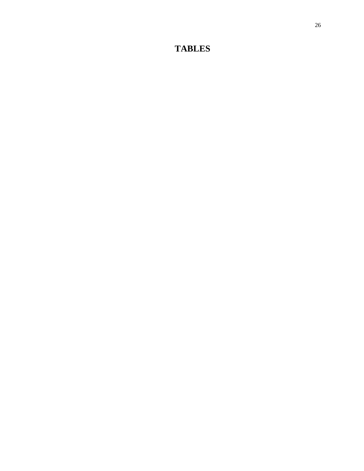# **TABLES**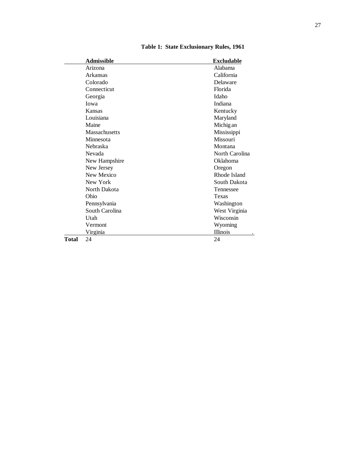|       | Admissible           | <b>Excludable</b> |
|-------|----------------------|-------------------|
|       | Arizona              | Alabama           |
|       | Arkansas             | California        |
|       | Colorado             | Delaware          |
|       | Connecticut          | Florida           |
|       | Georgia              | Idaho             |
|       | Iowa                 | Indiana           |
|       | Kansas               | Kentucky          |
|       | Louisiana            | Maryland          |
|       | Maine                | Michig an         |
|       | <b>Massachusetts</b> | Mississippi       |
|       | Minnesota            | Missouri          |
|       | <b>Nebraska</b>      | Montana           |
|       | Nevada               | North Carolina    |
|       | New Hampshire        | Oklahoma          |
|       | New Jersey           | Oregon            |
|       | New Mexico           | Rhode Island      |
|       | New York             | South Dakota      |
|       | North Dakota         | Tennessee         |
|       | Ohio                 | Texas             |
|       | Pennsylvania         | Washington        |
|       | South Carolina       | West Virginia     |
|       | Utah                 | Wisconsin         |
|       | Vermont              | Wyoming           |
|       | <u>Virginia</u>      | Illinois          |
| Total | 24                   | 24                |
|       |                      |                   |

**Table 1: State Exclusionary Rules, 1961**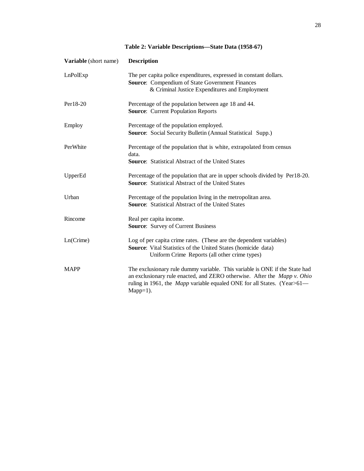| Variable (short name) | <b>Description</b>                                                                                                                                                                                                                                       |
|-----------------------|----------------------------------------------------------------------------------------------------------------------------------------------------------------------------------------------------------------------------------------------------------|
| LnPolExp              | The per capita police expenditures, expressed in constant dollars.<br><b>Source:</b> Compendium of State Government Finances<br>& Criminal Justice Expenditures and Employment                                                                           |
| Per18-20              | Percentage of the population between age 18 and 44.<br><b>Source:</b> Current Population Reports                                                                                                                                                         |
| Employ                | Percentage of the population employed.<br><b>Source:</b> Social Security Bulletin (Annual Statistical Supp.)                                                                                                                                             |
| PerWhite              | Percentage of the population that is white, extrapolated from census<br>data.<br><b>Source:</b> Statistical Abstract of the United States                                                                                                                |
| UpperEd               | Percentage of the population that are in upper schools divided by Per18-20.<br><b>Source:</b> Statistical Abstract of the United States                                                                                                                  |
| Urban                 | Percentage of the population living in the metropolitan area.<br><b>Source:</b> Statistical Abstract of the United States                                                                                                                                |
| Rincome               | Real per capita income.<br><b>Source:</b> Survey of Current Business                                                                                                                                                                                     |
| $Ln(C$ rime $)$       | Log of per capita crime rates. (These are the dependent variables)<br><b>Source:</b> Vital Statistics of the United States (homicide data)<br>Uniform Crime Reports (all other crime types)                                                              |
| <b>MAPP</b>           | The exclusionary rule dummy variable. This variable is ONE if the State had<br>an exclusionary rule enacted, and ZERO otherwise. After the Mapp v. Ohio<br>ruling in 1961, the <i>Mapp</i> variable equaled ONE for all States. (Year>61—<br>$Mapp=1$ ). |

## **Table 2: Variable Descriptions— State Data (1958-67)**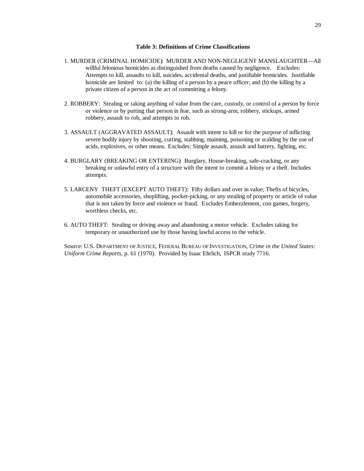#### **Table 3: Definitions of Crime Classifications**

- 1. MURDER (CRIMINAL HOMICIDE): MURDER AND NON-NEGLIGENT MANSLAUGHTER— All willful felonious homicides as distinguished from deaths caused by negligence. Excludes: Attempts to kill, assaults to kill, suicides, accidental deaths, and justifiable homicides. Justifiable homicide are limited to: (a) the killing of a person by a peace officer; and (b) the killing by a private citizen of a person in the act of committing a felony.
- 2. ROBBERY: Stealing or taking anything of value from the care, custody, or control of a person by force or violence or by putting that person in fear, such as strong-arm, robbery, stickups, armed robbery, assault to rob, and attempts to rob.
- 3. ASSAULT (AGGRAVATED ASSAULT): Assault with intent to kill or for the purpose of inflicting severe bodily injury by shooting, cutting, stabbing, maiming, poisoning or scalding by the use of acids, explosives, or other means. Excludes: Simple assault, assault and battery, fighting, etc.
- 4. BURGLARY (BREAKING OR ENTERING): Burglary, House-breaking, safe-cracking, or any breaking or unlawful entry of a structure with the intent to commit a felony or a theft. Includes attempts.
- 5. LARCENY THEFT (EXCEPT AUTO THEFT): Fifty dollars and over in value; Thefts of bicycles, automobile accessories, shoplifting, pocket-picking, or any stealing of property or article of value that is not taken by force and violence or fraud. Excludes Embezzlement, con games, forgery, worthless checks, etc.
- 6. AUTO THEFT: Stealing or driving away and abandoning a motor vehicle. Excludes taking for temporary or unauthorized use by those having lawful access to the vehicle.

Source: U.S. DEPARTMENT OF JUSTICE, FEDERAL BUREAU OF INVESTIGATION, *Crime in the United States: Uniform Crime Reports*, p. 61 (1970). Provided by Isaac Ehrlich, ISPCR study 7716.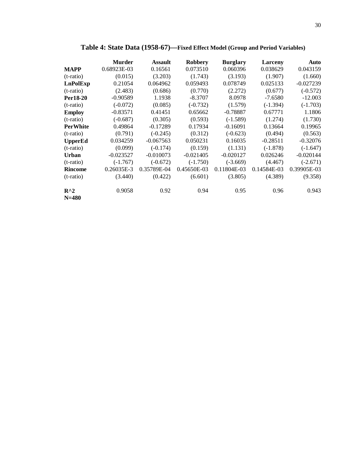|                            | <b>Murder</b> | <b>Assault</b> | <b>Robbery</b> | <b>Burglary</b> | Larceny     | Auto        |
|----------------------------|---------------|----------------|----------------|-----------------|-------------|-------------|
| <b>MAPP</b>                | 0.68923E-03   | 0.16561        | 0.073510       | 0.060396        | 0.038629    | 0.043159    |
| $(t$ -ratio)               | (0.015)       | (3.203)        | (1.743)        | (3.193)         | (1.907)     | (1.660)     |
| <b>LnPolExp</b>            | 0.21054       | 0.064962       | 0.059493       | 0.078749        | 0.025133    | $-0.027239$ |
| $(t-ratio)$                | (2.483)       | (0.686)        | (0.770)        | (2.272)         | (0.677)     | $(-0.572)$  |
| Per <sub>18-20</sub>       | $-0.90589$    | 1.1938         | $-8.3707$      | 8.0978          | $-7.6580$   | $-12.003$   |
| $(t-ratio)$                | $(-0.072)$    | (0.085)        | $(-0.732)$     | (1.579)         | $(-1.394)$  | $(-1.703)$  |
| <b>Employ</b>              | $-0.83571$    | 0.41451        | 0.65662        | $-0.78887$      | 0.67771     | 1.1806      |
| $(t$ -ratio)               | $(-0.687)$    | (0.305)        | (0.593)        | $(-1.589)$      | (1.274)     | (1.730)     |
| <b>PerWhite</b>            | 0.49864       | $-0.17289$     | 0.17934        | $-0.16091$      | 0.13664     | 0.19965     |
| $(t-ratio)$                | (0.791)       | $(-0.245)$     | (0.312)        | $(-0.623)$      | (0.494)     | (0.563)     |
| <b>UpperEd</b>             | 0.034259      | $-0.067563$    | 0.050231       | 0.16035         | $-0.28511$  | $-0.32076$  |
| $(t-ratio)$                | (0.099)       | $(-0.174)$     | (0.159)        | (1.131)         | $(-1.878)$  | $(-1.647)$  |
| <b>Urban</b>               | $-0.023527$   | $-0.010073$    | $-0.021405$    | $-0.020127$     | 0.026246    | $-0.020144$ |
| $(t-ratio)$                | $(-1.767)$    | $(-0.672)$     | $(-1.750)$     | $(-3.669)$      | (4.467)     | $(-2.671)$  |
| <b>Rincome</b>             | 0.26035E-3    | 0.35789E-04    | 0.45650E-03    | 0.11804E-03     | 0.14584E-03 | 0.39905E-03 |
| $(t-ratio)$                | (3.440)       | (0.422)        | (6.601)        | (3.805)         | (4.389)     | (9.358)     |
| $R^{\wedge}2$<br>$N = 480$ | 0.9058        | 0.92           | 0.94           | 0.95            | 0.96        | 0.943       |

| Table 4: State Data (1958-67)—Fixed Effect Model (Group and Period Variables) |  |  |
|-------------------------------------------------------------------------------|--|--|
|                                                                               |  |  |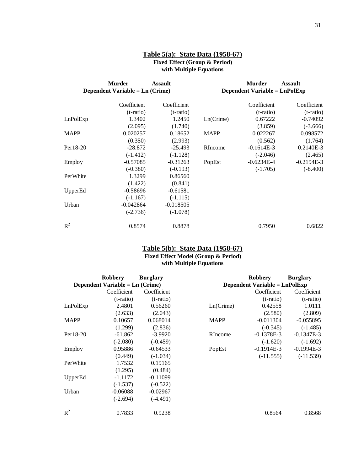#### **Table 5(a): State Data (1958-67) Fixed Effect (Group & Period) with Multiple Equations**

|                | <b>Murder</b>                      | <b>Assault</b> |              | <b>Murder</b>                        | <b>Assault</b> |
|----------------|------------------------------------|----------------|--------------|--------------------------------------|----------------|
|                | Dependent Variable = $Ln (C$ rime) |                |              | <b>Dependent Variable = LnPolExp</b> |                |
|                | Coefficient                        | Coefficient    |              | Coefficient                          | Coefficient    |
|                | $(t-ratio)$                        | $(t$ -ratio)   |              | $(t-ratio)$                          | $(t-ratio)$    |
| LnPolExp       | 1.3402                             | 1.2450         | $Ln(C$ rime) | 0.67222                              | $-0.74092$     |
|                | (2.095)                            | (1.740)        |              | (3.859)                              | $(-3.666)$     |
| MAPP           | 0.020257                           | 0.18652        | <b>MAPP</b>  | 0.022267                             | 0.098572       |
|                | (0.350)                            | (2.993)        |              | (0.562)                              | (1.764)        |
| Per18-20       | $-28.872$                          | $-25.493$      | RIncome      | $-0.1614E-3$                         | $0.2140E-3$    |
|                | $(-1.412)$                         | $(-1.128)$     |              | $(-2.046)$                           | (2.465)        |
| Employ         | $-0.57085$                         | $-0.31263$     | PopEst       | $-0.6234E-4$                         | $-0.2194E-3$   |
|                | $(-0.380)$                         | $(-0.193)$     |              | $(-1.705)$                           | $(-8.400)$     |
| PerWhite       | 1.3299                             | 0.86560        |              |                                      |                |
|                | (1.422)                            | (0.841)        |              |                                      |                |
| UpperEd        | $-0.58696$                         | $-0.61581$     |              |                                      |                |
|                | $(-1.167)$                         | $(-1.115)$     |              |                                      |                |
| Urban          | $-0.042864$                        | $-0.018505$    |              |                                      |                |
|                | $(-2.736)$                         | $(-1.078)$     |              |                                      |                |
| $\mathbf{R}^2$ | 0.8574                             | 0.8878         |              | 0.7950                               | 0.6822         |
|                |                                    |                |              |                                      |                |

#### **Table 5(b): State Data (1958-67) Fixed Effect Model (Group & Period) with Multiple Equations**

|             | <b>Robbery</b> | <b>Burglary</b>                                                            |                 | <b>Robbery</b> | <b>Burglary</b> |
|-------------|----------------|----------------------------------------------------------------------------|-----------------|----------------|-----------------|
|             |                | Dependent Variable = $Ln (C$ rime)<br><b>Dependent Variable = LnPolExp</b> |                 |                |                 |
|             | Coefficient    | Coefficient                                                                |                 | Coefficient    | Coefficient     |
|             | $(t-ratio)$    | $(t-ratio)$                                                                |                 | $(t-ratio)$    | $(t-ratio)$     |
| LnPolExp    | 2.4801         | 0.56260                                                                    | $Ln(C$ rime $)$ | 0.42558        | 1.0111          |
|             | (2.633)        | (2.043)                                                                    |                 | (2.580)        | (2.809)         |
| <b>MAPP</b> | 0.10657        | 0.068014                                                                   | <b>MAPP</b>     | $-0.011304$    | $-0.055895$     |
|             | (1.299)        | (2.836)                                                                    |                 | $(-0.345)$     | $(-1.485)$      |
| Per18-20    | $-61.862$      | $-3.9920$                                                                  | RIncome         | $-0.1378E-3$   | $-0.1347E-3$    |
|             | $(-2.080)$     | $(-0.459)$                                                                 |                 | $(-1.620)$     | $(-1.692)$      |
| Employ      | 0.95886        | $-0.64533$                                                                 | PopEst          | $-0.1914E-3$   | $-0.1994E-3$    |
|             | (0.449)        | $(-1.034)$                                                                 |                 | $(-11.555)$    | $(-11.539)$     |
| PerWhite    | 1.7532         | 0.19165                                                                    |                 |                |                 |
|             | (1.295)        | (0.484)                                                                    |                 |                |                 |
| UpperEd     | $-1.1172$      | $-0.11099$                                                                 |                 |                |                 |
|             | $(-1.537)$     | $(-0.522)$                                                                 |                 |                |                 |
| Urban       | $-0.06088$     | $-0.02967$                                                                 |                 |                |                 |
|             | $(-2.694)$     | $(-4.491)$                                                                 |                 |                |                 |
| $R^2$       | 0.7833         | 0.9238                                                                     |                 | 0.8564         | 0.8568          |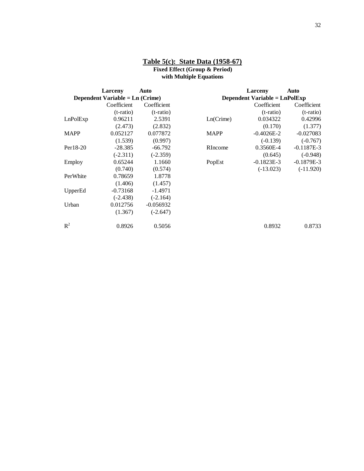#### **Table 5(c): State Data (1958-67) Fixed Effect (Group & Period) with Multiple Equations**

|             | Larceny                            | Auto        |              | Larceny                              | Auto         |  |
|-------------|------------------------------------|-------------|--------------|--------------------------------------|--------------|--|
|             | Dependent Variable = $Ln (C$ rime) |             |              | <b>Dependent Variable = LnPolExp</b> |              |  |
|             | Coefficient                        | Coefficient |              | Coefficient                          | Coefficient  |  |
|             | $(t-ratio)$                        | $(t-ratio)$ |              | $(t-ratio)$                          | $(t-ratio)$  |  |
| LnPolExp    | 0.96211                            | 2.5391      | $Ln(C$ rime) | 0.034322                             | 0.42996      |  |
|             | (2.473)                            | (2.832)     |              | (0.170)                              | (1.377)      |  |
| <b>MAPP</b> | 0.052127                           | 0.077872    | <b>MAPP</b>  | $-0.4026E - 2$                       | $-0.027083$  |  |
|             | (1.539)                            | (0.997)     |              | $(-0.139)$                           | $(-0.767)$   |  |
| $Per18-20$  | $-28.385$                          | $-66.792$   | RIncome      | 0.3560E-4                            | $-0.1187E-3$ |  |
|             | $(-2.311)$                         | $(-2.359)$  |              | (0.645)                              | $(-0.948)$   |  |
| Employ      | 0.65244                            | 1.1660      | PopEst       | $-0.1823E-3$                         | $-0.1879E-3$ |  |
|             | (0.740)                            | (0.574)     |              | $(-13.023)$                          | $(-11.920)$  |  |
| PerWhite    | 0.78659                            | 1.8778      |              |                                      |              |  |
|             | (1.406)                            | (1.457)     |              |                                      |              |  |
| UpperEd     | $-0.73168$                         | $-1.4971$   |              |                                      |              |  |
|             | $(-2.438)$                         | $(-2.164)$  |              |                                      |              |  |
| Urban       | 0.012756                           | $-0.056932$ |              |                                      |              |  |
|             | (1.367)                            | $(-2.647)$  |              |                                      |              |  |
| $R^2$       | 0.8926                             | 0.5056      |              | 0.8932                               | 0.8733       |  |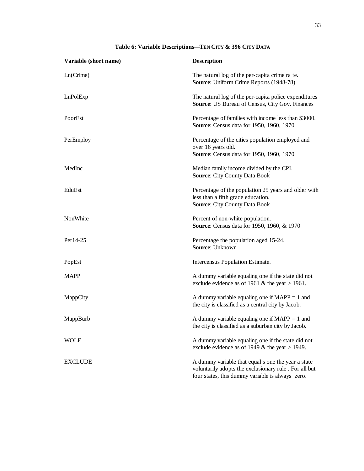| Variable (short name) | <b>Description</b>                                                                                                                 |
|-----------------------|------------------------------------------------------------------------------------------------------------------------------------|
| Ln(Crime)             | The natural log of the per-capita crime ra te.<br>Source: Uniform Crime Reports (1948-78)                                          |
| LnPolExp              | The natural log of the per-capita police expenditures<br>Source: US Bureau of Census, City Gov. Finances                           |
| PoorEst               | Percentage of families with income less than \$3000.<br>Source: Census data for 1950, 1960, 1970                                   |
| PerEmploy             | Percentage of the cities population employed and<br>over 16 years old.<br>Source: Census data for 1950, 1960, 1970                 |
| MedInc                | Median family income divided by the CPI.<br><b>Source: City County Data Book</b>                                                   |
| EduEst                | Percentage of the population 25 years and older with<br>less than a fifth grade education.<br><b>Source: City County Data Book</b> |
| NonWhite              | Percent of non-white population.<br>Source: Census data for 1950, 1960, & 1970                                                     |
| Per14-25              | Percentage the population aged 15-24.<br>Source: Unknown                                                                           |
| PopEst                | Intercensus Population Estimate.                                                                                                   |
| MAPP                  | A dummy variable equaling one if the state did not<br>exclude evidence as of 1961 & the year > 1961.                               |
| MappCity              | A dummy variable equaling one if $MAPP = 1$ and<br>the city is classified as a central city by Jacob.                              |
| MappBurb              | A dummy variable equaling one if $MAPP = 1$ and<br>the city is classified as a suburban city by Jacob.                             |
| WOLF                  | A dummy variable equaling one if the state did not<br>exclude evidence as of 1949 $\&$ the year > 1949.                            |
|                       |                                                                                                                                    |

## **Table 6: Variable Descriptions— TEN CITY & 396 CITY DATA**

EXCLUDE A dummy variable that equal s one the year a state voluntarily adopts the exclusionary rule . For all but four states, this dummy variable is always zero.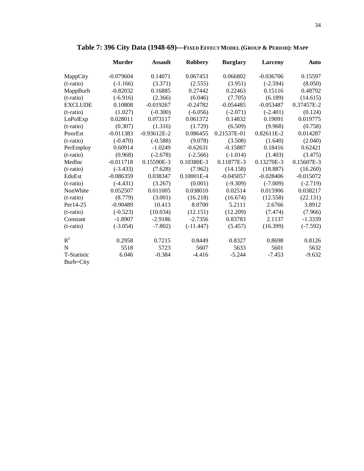|                | <b>Murder</b> | <b>Assault</b> | <b>Robbery</b> | <b>Burglary</b> | Larceny     | Auto        |
|----------------|---------------|----------------|----------------|-----------------|-------------|-------------|
| MappCity       | $-0.079604$   | 0.14071        | 0.067453       | 0.066802        | $-0.036706$ | 0.15597     |
| $(t-ratio)$    | $(-1.166)$    | (3.371)        | (2.555)        | (3.951)         | $(-2.594)$  | (8.050)     |
| MappBurb       | $-0.82032$    | 0.16885        | 0.27442        | 0.22463         | 0.15116     | 0.48792     |
| $(t-ratio)$    | $(-6.916)$    | (2.366)        | (6.046)        | (7.705)         | (6.189)     | (14.615)    |
| <b>EXCLUDE</b> | 0.10808       | $-0.019267$    | $-0.24782$     | $-0.054485$     | $-0.053487$ | 0.37457E-2  |
| $(t-ratio)$    | (1.027)       | $(-0.300)$     | $(-6.056)$     | $(-2.071)$      | $(-2.401)$  | (0.124)     |
| LnPolExp       | 0.028011      | 0.073117       | 0.061372       | 0.14832         | 0.19091     | 0.019775    |
| $(t-ratio)$    | (0.307)       | (1.316)        | (1.729)        | (6.509)         | (9.968)     | (0.758)     |
| PoorEst        | $-0.011383$   | $-0.93612E-2$  | 0.086455       | 0.21537E-01     | 0.82611E-2  | 0.014287    |
| $(t$ -ratio)   | $(-0.470)$    | $(-0.588)$     | (9.078)        | (3.508)         | (1.640)     | (2.040)     |
| PerEmploy      | 0.60914       | $-1.0249$      | $-0.62631$     | $-0.15887$      | 0.18416     | 0.62421     |
| $(t-ratio)$    | (0.968)       | $(-2.678)$     | $(-2.566)$     | $(-1.014)$      | (1.403)     | (3.475)     |
| MedInc         | $-0.011718$   | 0.15590E-3     | 0.10380E-3     | 0.11877E-3      | 0.13270E-3  | 0.15607E-3  |
| $(t-ratio)$    | $(-3.433)$    | (7.628)        | (7.962)        | (14.158)        | (18.887)    | (16.260)    |
| EduEst         | $-0.086359$   | 0.038347       | $0.10001E-4$   | $-0.045057$     | $-0.028406$ | $-0.015072$ |
| $(t-ratio)$    | $(-4.431)$    | (3.267)        | (0.001)        | $(-9.309)$      | $(-7.009)$  | $(-2.719)$  |
| NonWhite       | 0.052507      | 0.011005       | 0.038010       | 0.02514         | 0.015906    | 0.038217    |
| $(t-ratio)$    | (8.779)       | (3.001)        | (16.218)       | (16.674)        | (12.558)    | (22.131)    |
| Per14-25       | $-0.90489$    | 10.413         | 8.0700         | 5.2111          | 2.6766      | 3.8912      |
| $(t-ratio)$    | $(-0.523)$    | (10.034)       | (12.151)       | (12.209)        | (7.474)     | (7.966)     |
| Constant       | $-1.8907$     | $-2.9186$      | $-2.7356$      | 0.83783         | 2.1137      | $-1.3339$   |
| $(t-ratio)$    | $(-3.054)$    | $-7.802$       | $(-11.447)$    | (5.457)         | (16.399)    | $(-7.592)$  |
| $R^2$          | 0.2958        | 0.7215         | 0.8449         | 0.8327          | 0.8698      | 0.8126      |
| N              | 5518          | 5723           | 5607           | 5633            | 5601        | 5632        |
| T-Statistic    | 6.046         | $-0.384$       | $-4.416$       | $-5.244$        | $-7.453$    | $-9.632$    |
| Burb=City      |               |                |                |                 |             |             |

# **Table 7: 396 City Data (1948-69)— FIXED EFFECT MODEL (GROUP & PERIOD): MAPP**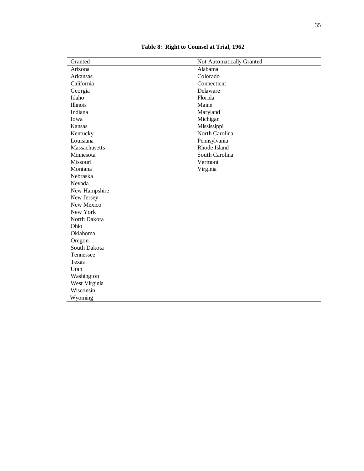| Granted       | Not Automatically Granted |
|---------------|---------------------------|
| Arizona       | Alabama                   |
| Arkansas      | Colorado                  |
| California    | Connecticut               |
| Georgia       | Delaware                  |
| Idaho         | Florida                   |
| Illinois      | Maine                     |
| Indiana       | Maryland                  |
| Iowa          | Michigan                  |
| <b>Kansas</b> | Mississippi               |
| Kentucky      | North Carolina            |
| Louisiana     | Pennsylvania              |
| Massachusetts | Rhode Island              |
| Minnesota     | South Carolina            |
| Missouri      | Vermont                   |
| Montana       | Virginia                  |
| Nebraska      |                           |
| Nevada        |                           |
| New Hampshire |                           |
| New Jersey    |                           |
| New Mexico    |                           |
| New York      |                           |
| North Dakota  |                           |
| Ohio          |                           |
| Oklahoma      |                           |
| Oregon        |                           |
| South Dakota  |                           |
| Tennessee     |                           |
| Texas         |                           |
| Utah          |                           |
| Washington    |                           |
| West Virginia |                           |
| Wisconsin     |                           |
| Wyoming       |                           |

**Table 8: Right to Counsel at Trial, 1962**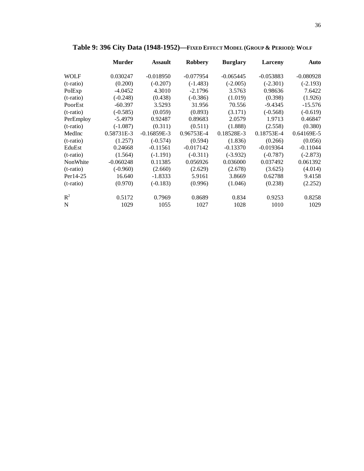|              | <b>Murder</b> | <b>Assault</b> | <b>Robbery</b> | <b>Burglary</b> | Larceny     | Auto        |
|--------------|---------------|----------------|----------------|-----------------|-------------|-------------|
| <b>WOLF</b>  | 0.030247      | $-0.018950$    | $-0.077954$    | $-0.065445$     | $-0.053883$ | $-0.080928$ |
| $(t$ -ratio) | (0.200)       | $(-0.207)$     | $(-1.483)$     | $(-2.005)$      | $(-2.301)$  | $(-2.193)$  |
| PolExp       | $-4.0452$     | 4.3010         | $-2.1796$      | 3.5763          | 0.98636     | 7.6422      |
| $(t-ratio)$  | $(-0.248)$    | (0.438)        | $(-0.386)$     | (1.019)         | (0.398)     | (1.926)     |
| PoorEst      | $-60.397$     | 3.5293         | 31.956         | 70.556          | $-9.4345$   | $-15.576$   |
| $(t$ -ratio) | $(-0.585)$    | (0.059)        | (0.893)        | (3.171)         | $(-0.568)$  | $(-0.619)$  |
| PerEmploy    | $-5.4979$     | 0.92487        | 0.89683        | 2.0579          | 1.9713      | 0.46847     |
| $(t-ratio)$  | $(-1.087)$    | (0.311)        | (0.511)        | (1.888)         | (2.558)     | (0.380)     |
| MedInc       | 0.58731E-3    | $-0.16859E-3$  | 0.96753E-4     | 0.18528E-3      | 0.18753E-4  | 0.64169E-5  |
| $(t-ratio)$  | (1.257)       | $(-0.574)$     | (0.594)        | (1.836)         | (0.266)     | (0.056)     |
| EduEst       | 0.24668       | $-0.11561$     | $-0.017142$    | $-0.13370$      | $-0.019364$ | $-0.11044$  |
| $(t-ratio)$  | (1.564)       | $(-1.191)$     | $(-0.311)$     | $(-3.932)$      | $(-0.787)$  | $(-2.873)$  |
| NonWhite     | $-0.060248$   | 0.11385        | 0.056926       | 0.036000        | 0.037492    | 0.061392    |
| $(t-ratio)$  | $(-0.960)$    | (2.660)        | (2.629)        | (2.678)         | (3.625)     | (4.014)     |
| $Per14-25$   | 16.640        | $-1.8333$      | 5.9161         | 3.8669          | 0.62788     | 9.4158      |
| $(t-ratio)$  | (0.970)       | $(-0.183)$     | (0.996)        | (1.046)         | (0.238)     | (2.252)     |
| $R^2$        | 0.5172        | 0.7969         | 0.8689         | 0.834           | 0.9253      | 0.8258      |
| N            | 1029          | 1055           | 1027           | 1028            | 1010        | 1029        |

# **Table 9: 396 City Data (1948-1952)— FIXED EFFECT MODEL (GROUP & PERIOD): WOLF**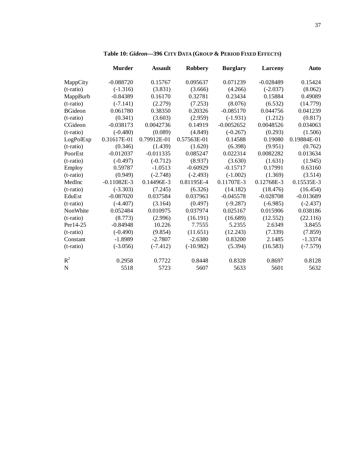|                | <b>Murder</b> | <b>Assault</b> | <b>Robbery</b> | <b>Burglary</b> | Larceny     | Auto        |
|----------------|---------------|----------------|----------------|-----------------|-------------|-------------|
| MappCity       | $-0.088720$   | 0.15767        | 0.095637       | 0.071239        | $-0.028489$ | 0.15424     |
| $(t-ratio)$    | $(-1.316)$    | (3.831)        | (3.666)        | (4.266)         | $(-2.037)$  | (8.062)     |
| MappBurb       | $-0.84389$    | 0.16170        | 0.32781        | 0.23434         | 0.15884     | 0.49089     |
| $(t-ratio)$    | $(-7.141)$    | (2.279)        | (7.253)        | (8.076)         | (6.532)     | (14.779)    |
| <b>BGideon</b> | 0.061780      | 0.38350        | 0.20326        | $-0.085170$     | 0.044756    | 0.041239    |
| $(t-ratio)$    | (0.341)       | (3.603)        | (2.959)        | $(-1.931)$      | (1.212)     | (0.817)     |
| CGideon        | $-0.038173$   | 0.0042736      | 0.14919        | $-0.0052652$    | 0.0048526   | 0.034063    |
| $(t-ratio)$    | $(-0.480)$    | (0.089)        | (4.849)        | $(-0.267)$      | (0.293)     | (1.506)     |
| LogPolExp      | 0.31617E-01   | 0.79912E-01    | 0.57563E-01    | 0.14588         | 0.19080     | 0.19884E-01 |
| $(t-ratio)$    | (0.346)       | (1.439)        | (1.620)        | (6.398)         | (9.951)     | (0.762)     |
| PoorEst        | $-0.012037$   | $-0.011335$    | 0.085247       | 0.022314        | 0.0082282   | 0.013634    |
| $(t-ratio)$    | $(-0.497)$    | $(-0.712)$     | (8.937)        | (3.630)         | (1.631)     | (1.945)     |
| Employ         | 0.59787       | $-1.0513$      | $-0.60929$     | $-0.15717$      | 0.17991     | 0.63160     |
| $(t-ratio)$    | (0.949)       | $(-2.748)$     | $(-2.493)$     | $(-1.002)$      | (1.369)     | (3.514)     |
| MedInc         | $-0.11082E-3$ | 0.14496E-3     | 0.81195E-4     | 0.11707E-3      | 0.12768E-3  | 0.15535E-3  |
| $(t-ratio)$    | $(-3.303)$    | (7.245)        | (6.326)        | (14.182)        | (18.476)    | (16.454)    |
| EduEst         | $-0.087020$   | 0.037584       | 0.037963       | $-0.045578$     | $-0.028708$ | $-0.013689$ |
| $(t-ratio)$    | $(-4.407)$    | (3.164)        | (0.497)        | $(-9.287)$      | $(-6.985)$  | $(-2.437)$  |
| NonWhite       | 0.052484      | 0.010975       | 0.037974       | 0.025167        | 0.015906    | 0.038186    |
| $(t-ratio)$    | (8.773)       | (2.996)        | (16.191)       | (16.689)        | (12.552)    | (22.116)    |
| $Per14-25$     | $-0.84948$    | 10.226         | 7.7555         | 5.2355          | 2.6349      | 3.8455      |
| $(t-ratio)$    | $(-0.490)$    | (9.854)        | (11.651)       | (12.243)        | (7.339)     | (7.859)     |
| Constant       | $-1.8989$     | $-2.7807$      | $-2.6380$      | 0.83200         | 2.1485      | $-1.3374$   |
| $(t-ratio)$    | $(-3.056)$    | $(-7.412)$     | $(-10.982)$    | (5.394)         | (16.583)    | $(-7.579)$  |
| $R^2$          | 0.2958        | 0.7722         | 0.8448         | 0.8328          | 0.8697      | 0.8128      |
| N              | 5518          | 5723           | 5607           | 5633            | 5601        | 5632        |

## **Table 10:** *Gideon***— 396 CITY DATA (GROUP & PERIOD FIXED EFFECTS)**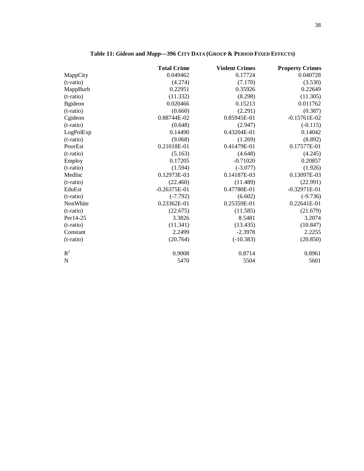|                 | <b>Total Crime</b> | <b>Violent Crimes</b> | <b>Property Crimes</b> |
|-----------------|--------------------|-----------------------|------------------------|
| MappCity        | 0.049462           | 0.17724               | 0.040728               |
| $(t-ratio)$     | (4.274)            | (7.170)               | (3.530)                |
| MappBurb        | 0.22951            | 0.35926               | 0.22649                |
| $(t$ -ratio)    | (11.332)           | (8.298)               | (11.305)               |
| <b>B</b> gideon | 0.020466           | 0.15213               | 0.011762               |
| $(t-ratio)$     | (0.660)            | (2.291)               | (0.387)                |
| Cgideon         | 0.88744E-02        | 0.85945E-01           | $-0.15761E-02$         |
| $(t$ -ratio)    | (0.648)            | (2.947)               | $(-0.115)$             |
| LogPolExp       | 0.14490            | 0.43204E-01           | 0.14042                |
| $(t$ -ratio)    | (9.068)            | (1.269)               | (8.892)                |
| PoorEst         | 0.21018E-01        | 0.41479E-01           | 0.17577E-01            |
| (t-ratio)       | (5.163)            | (4.648)               | (4.245)                |
| Employ          | 0.17205            | $-0.71020$            | 0.20857                |
| $(t-ratio)$     | (1.594)            | $(-3.077)$            | (1.926)                |
| MedInc          | 0.12973E-03        | 0.14187E-03           | 0.13097E-03            |
| $(t-ratio)$     | (22.460)           | (11.489)              | (22.991)               |
| EduEst          | $-0.26375E-01$     | 0.47780E-01           | $-0.32971E-01$         |
| $(t-ratio)$     | $(-7.792)$         | (6.602)               | $(-9.736)$             |
| NonWhite        | 0.23362E-01        | 0.25359E-01           | 0.22641E-01            |
| $(t-ratio)$     | (22.675)           | (11.585)              | (21.679)               |
| Per14-25        | 3.3826             | 8.5481                | 3.2074                 |
| $(t-ratio)$     | (11.341)           | (13.435)              | (10.847)               |
| Constant        | 2.2499             | $-2.3978$             | 2.2255                 |
| $(t-ratio)$     | (20.764)           | $(-10.383)$           | (20.850)               |
| $R^2$           | 0.9008             | 0.8714                | 0.8961                 |
| $\mathbf N$     | 5470               | 5504                  | 5601                   |

## **Table 11:** *Gideon* **and** *Mapp***— 396 CITY DATA (GROUP & PERIOD FIXED EFFECTS)**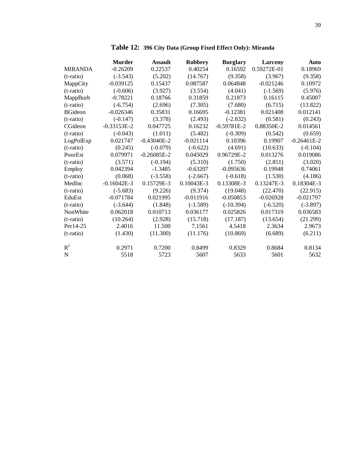|                | <b>Murder</b> | <b>Assault</b>  | <b>Robbery</b> | <b>Burglary</b> | Larceny     | Auto          |
|----------------|---------------|-----------------|----------------|-----------------|-------------|---------------|
| <b>MIRANDA</b> | $-0.26209$    | 0.22537         | 0.40254        | 0.16592         | 0.59272E-01 | 0.18969       |
| $(t$ -ratio)   | $(-3.543)$    | (5.202)         | (14.767)       | (9.358)         | (3.967)     | (9.358)       |
| MappCity       | $-0.039125$   | 0.15437         | 0.087587       | 0.064848        | $-0.021246$ | 0.10972       |
| $(t-ratio)$    | $(-0.606)$    | (3.927)         | (3.554)        | (4.041)         | $(-1.569)$  | (5.976)       |
| MappBurb       | $-0.78221$    | 0.18766         | 0.31859        | 0.21873         | 0.16115     | 0.45007       |
| $(t$ -ratio)   | $(-6.754)$    | (2.696)         | (7.305)        | (7.680)         | (6.715)     | (13.822)      |
| <b>BGideon</b> | $-0.026346$   | 0.35831         | 0.16695        | $-0.12381$      | 0.021408    | 0.012141      |
| $(t-ratio)$    | $(-0.147)$    | (3.378)         | (2.493)        | $(-2.832)$      | (0.581)     | (0.243)       |
| CGideon        | $-0.33153E-2$ | 0.047725        | 0.16232        | $-0.59781E-2$   | 0.88350E-2  | 0.014561      |
| $(t-ratio)$    | $(-0.043)$    | (1.011)         | (5.482)        | $(-0.309)$      | (0.542)     | (0.659)       |
| LogPolExp      | 0.021747      | $-0.43040E-2$   | $-0.021114$    | 0.10396         | 0.19907     | $-0.26461E-2$ |
| $(t-ratio)$    | (0.245)       | $(-0.079)$      | $(-0.622)$     | (4.691)         | (10.633)    | $(-0.104)$    |
| PoorEst        | 0.079971      | $-0.26085E - 2$ | 0.045029       | 0.96729E-2      | 0.013276    | 0.019086      |
| $(t-ratio)$    | (3.571)       | $(-0.194)$      | (5.310)        | (1.750)         | (2.851)     | (3.020)       |
| Employ         | 0.042394      | $-1.3485$       | $-0.63207$     | $-0.095636$     | 0.19948     | 0.74061       |
| $(t-ratio)$    | (0.068)       | $(-3.558)$      | $(-2.667)$     | $(-0.618)$      | (1.530)     | (4.186)       |
| MedInc         | $-0.16042E-3$ | 0.15729E-3      | $0.10043E-3$   | 0.13308E-3      | 0.13247E-3  | 0.18304E-3    |
| $(t-ratio)$    | $(-5.683)$    | (9.226)         | (9.374)        | (19.048)        | (22.470)    | (22.915)      |
| EduEst         | $-0.071784$   | 0.021995        | $-0.011916$    | $-0.050853$     | $-0.026928$ | $-0.021797$   |
| $(t$ -ratio)   | $(-3.644)$    | (1.848)         | $(-1.589)$     | $(-10.394)$     | $(-6.520)$  | $(-3.897)$    |
| NonWhite       | 0.062018      | 0.010713        | 0.036177       | 0.025826        | 0.017319    | 0.036583      |
| $(t-ratio)$    | (10.264)      | (2.928)         | (15.718)       | (17.187)        | (13.654)    | (21.299)      |
| Per14-25       | 2.4016        | 11.500          | 7.1561         | 4.5418          | 2.3634      | 2.9673        |
| $(t-ratio)$    | (1.430)       | (11.300)        | (11.176)       | (10.869)        | (6.689)     | (6.211)       |
| $R^2$          | 0.2971        | 0.7200          | 0.8499         | 0.8329          | 0.8684      | 0.8134        |
| $\mathbf N$    | 5518          | 5723            | 5607           | 5633            | 5601        | 5632          |

**Table 12: 396 City Data (Group Fixed Effect Only): Miranda**